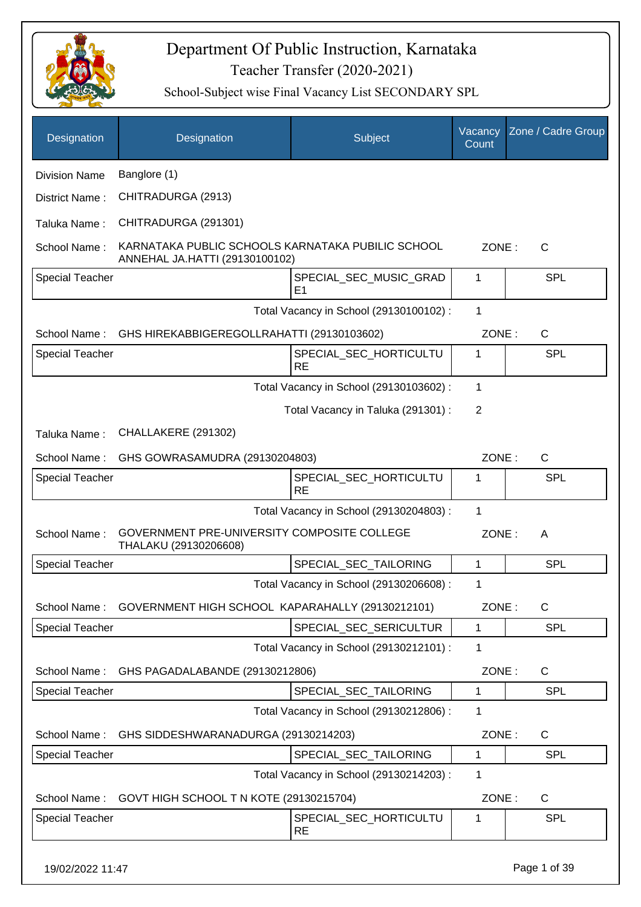

| Designation            | Designation                                                                         | Subject                                  | Vacancy<br>Count | Zone / Cadre Group |
|------------------------|-------------------------------------------------------------------------------------|------------------------------------------|------------------|--------------------|
| <b>Division Name</b>   | Banglore (1)                                                                        |                                          |                  |                    |
| District Name:         | CHITRADURGA (2913)                                                                  |                                          |                  |                    |
| Taluka Name:           | CHITRADURGA (291301)                                                                |                                          |                  |                    |
| School Name:           | KARNATAKA PUBLIC SCHOOLS KARNATAKA PUBILIC SCHOOL<br>ANNEHAL JA.HATTI (29130100102) |                                          | ZONE:            | C                  |
| <b>Special Teacher</b> |                                                                                     | SPECIAL_SEC_MUSIC_GRAD<br>E <sub>1</sub> | 1                | SPL                |
|                        |                                                                                     | Total Vacancy in School (29130100102) :  | $\mathbf 1$      |                    |
| School Name:           | GHS HIREKABBIGEREGOLLRAHATTI (29130103602)                                          |                                          | ZONE:            | $\mathsf{C}$       |
| <b>Special Teacher</b> |                                                                                     | SPECIAL_SEC_HORTICULTU<br><b>RE</b>      | 1                | <b>SPL</b>         |
|                        |                                                                                     | Total Vacancy in School (29130103602) :  | 1                |                    |
|                        |                                                                                     | Total Vacancy in Taluka (291301) :       | 2                |                    |
| Taluka Name:           | CHALLAKERE (291302)                                                                 |                                          |                  |                    |
| School Name:           | GHS GOWRASAMUDRA (29130204803)                                                      |                                          | ZONE:            | C                  |
| <b>Special Teacher</b> |                                                                                     | SPECIAL_SEC_HORTICULTU<br><b>RE</b>      | 1                | SPL                |
|                        |                                                                                     | Total Vacancy in School (29130204803) :  | 1                |                    |
| School Name:           | GOVERNMENT PRE-UNIVERSITY COMPOSITE COLLEGE<br>THALAKU (29130206608)                |                                          | ZONE:            | A                  |
| <b>Special Teacher</b> |                                                                                     | SPECIAL_SEC_TAILORING                    | 1                | <b>SPL</b>         |
|                        |                                                                                     | Total Vacancy in School (29130206608) :  | 1                |                    |
| School Name:           | GOVERNMENT HIGH SCHOOL KAPARAHALLY (29130212101)                                    |                                          | ZONE:            | $\mathsf{C}$       |
| <b>Special Teacher</b> |                                                                                     | SPECIAL_SEC_SERICULTUR                   | 1                | <b>SPL</b>         |
|                        |                                                                                     | Total Vacancy in School (29130212101) :  | 1                |                    |
| School Name:           | GHS PAGADALABANDE (29130212806)                                                     |                                          | ZONE:            | C                  |
| <b>Special Teacher</b> |                                                                                     | SPECIAL_SEC_TAILORING                    | 1                | <b>SPL</b>         |
|                        |                                                                                     | Total Vacancy in School (29130212806) :  | 1                |                    |
| School Name:           | GHS SIDDESHWARANADURGA (29130214203)                                                |                                          | ZONE:            | C                  |
| <b>Special Teacher</b> |                                                                                     | SPECIAL_SEC_TAILORING                    | 1                | <b>SPL</b>         |
|                        |                                                                                     | Total Vacancy in School (29130214203) :  | 1                |                    |
| School Name:           | GOVT HIGH SCHOOL T N KOTE (29130215704)                                             |                                          | ZONE:            | C                  |
| <b>Special Teacher</b> |                                                                                     | SPECIAL_SEC_HORTICULTU<br><b>RE</b>      | 1                | <b>SPL</b>         |
| 19/02/2022 11:47       |                                                                                     |                                          |                  | Page 1 of 39       |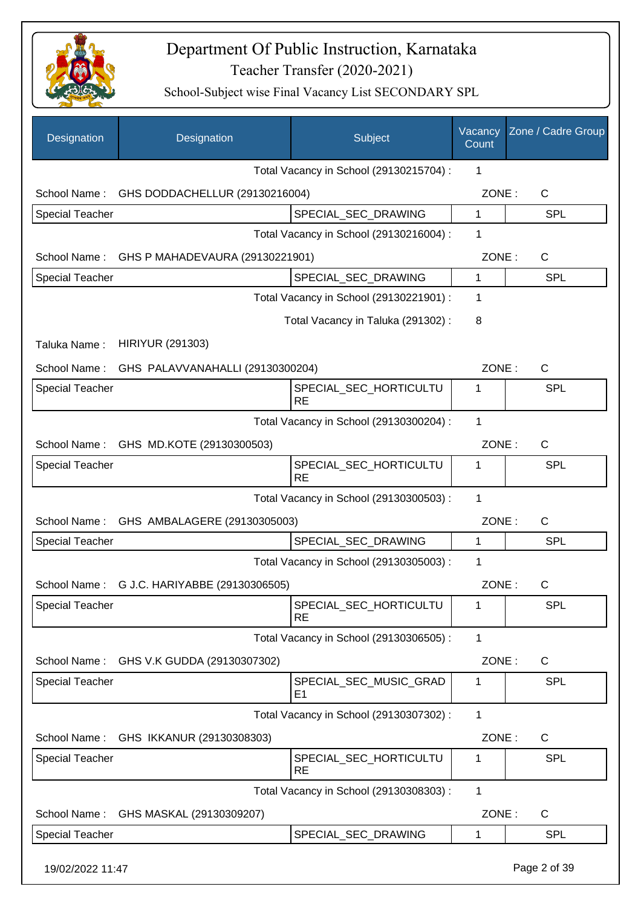

| Designation            | Designation                      | Subject                                  | Vacancy<br>Count | Zone / Cadre Group |
|------------------------|----------------------------------|------------------------------------------|------------------|--------------------|
|                        |                                  | Total Vacancy in School (29130215704) :  | 1                |                    |
| School Name:           | GHS DODDACHELLUR (29130216004)   |                                          | ZONE:            | $\mathsf{C}$       |
| Special Teacher        |                                  | SPECIAL_SEC_DRAWING                      | 1                | <b>SPL</b>         |
|                        |                                  | Total Vacancy in School (29130216004) :  | 1                |                    |
| School Name:           | GHS P MAHADEVAURA (29130221901)  |                                          | ZONE:            | C                  |
| <b>Special Teacher</b> |                                  | SPECIAL_SEC_DRAWING                      | $\mathbf{1}$     | <b>SPL</b>         |
|                        |                                  | Total Vacancy in School (29130221901) :  | 1                |                    |
|                        |                                  | Total Vacancy in Taluka (291302):        | 8                |                    |
| Taluka Name:           | <b>HIRIYUR (291303)</b>          |                                          |                  |                    |
| School Name:           | GHS PALAVVANAHALLI (29130300204) |                                          | ZONE:            | C                  |
| Special Teacher        |                                  | SPECIAL_SEC_HORTICULTU<br><b>RE</b>      | 1                | <b>SPL</b>         |
|                        |                                  | Total Vacancy in School (29130300204) :  | 1                |                    |
| School Name:           | GHS MD.KOTE (29130300503)        |                                          | ZONE:            | $\mathsf{C}$       |
| <b>Special Teacher</b> |                                  | SPECIAL_SEC_HORTICULTU<br><b>RE</b>      | 1                | SPL                |
|                        |                                  | Total Vacancy in School (29130300503) :  | 1                |                    |
| School Name:           | GHS AMBALAGERE (29130305003)     |                                          | ZONE:            | $\mathsf{C}$       |
| <b>Special Teacher</b> |                                  | SPECIAL_SEC_DRAWING                      | 1                | SPL                |
|                        |                                  | Total Vacancy in School (29130305003) :  | 1                |                    |
| School Name:           | G J.C. HARIYABBE (29130306505)   |                                          | ZONE:            | C                  |
| <b>Special Teacher</b> |                                  | SPECIAL_SEC_HORTICULTU<br><b>RE</b>      | 1                | <b>SPL</b>         |
|                        |                                  | Total Vacancy in School (29130306505) :  | 1                |                    |
| School Name:           | GHS V.K GUDDA (29130307302)      |                                          | ZONE:            | C                  |
| Special Teacher        |                                  | SPECIAL SEC MUSIC GRAD<br>E <sub>1</sub> | 1                | <b>SPL</b>         |
|                        |                                  | Total Vacancy in School (29130307302) :  | 1                |                    |
| School Name:           | GHS IKKANUR (29130308303)        |                                          | ZONE:            | $\mathsf{C}$       |
| Special Teacher        |                                  | SPECIAL_SEC_HORTICULTU<br><b>RE</b>      | 1                | <b>SPL</b>         |
|                        |                                  | Total Vacancy in School (29130308303) :  | 1                |                    |
| School Name:           | GHS MASKAL (29130309207)         |                                          | ZONE:            | $\mathsf{C}$       |
| Special Teacher        |                                  | SPECIAL_SEC_DRAWING                      | $\mathbf 1$      | <b>SPL</b>         |
| 19/02/2022 11:47       |                                  |                                          |                  | Page 2 of 39       |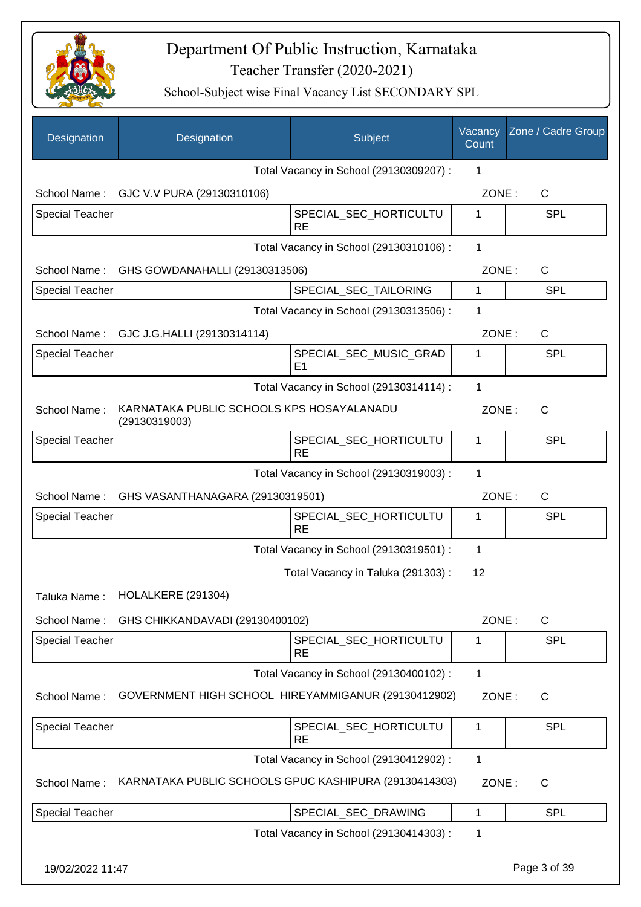

| Designation            | Designation                                                | Subject                                  | Vacancy<br>Count | Zone / Cadre Group |
|------------------------|------------------------------------------------------------|------------------------------------------|------------------|--------------------|
|                        |                                                            | Total Vacancy in School (29130309207) :  | 1                |                    |
| School Name:           | GJC V.V PURA (29130310106)                                 |                                          | ZONE:            | $\mathsf{C}$       |
| <b>Special Teacher</b> |                                                            | SPECIAL_SEC_HORTICULTU<br><b>RE</b>      | 1                | <b>SPL</b>         |
|                        |                                                            | Total Vacancy in School (29130310106) :  | 1                |                    |
| School Name:           | GHS GOWDANAHALLI (29130313506)                             |                                          | ZONE:            | C                  |
| <b>Special Teacher</b> |                                                            | SPECIAL_SEC_TAILORING                    | $\mathbf{1}$     | <b>SPL</b>         |
|                        |                                                            | Total Vacancy in School (29130313506) :  | 1                |                    |
| School Name:           | GJC J.G.HALLI (29130314114)                                |                                          | ZONE:            | $\mathsf{C}$       |
| <b>Special Teacher</b> |                                                            | SPECIAL SEC MUSIC GRAD<br>E <sub>1</sub> | 1                | SPL                |
|                        |                                                            | Total Vacancy in School (29130314114) :  | 1                |                    |
| School Name:           | KARNATAKA PUBLIC SCHOOLS KPS HOSAYALANADU<br>(29130319003) |                                          | ZONE:            | $\mathsf{C}$       |
| <b>Special Teacher</b> |                                                            | SPECIAL_SEC_HORTICULTU<br><b>RE</b>      | 1                | <b>SPL</b>         |
|                        |                                                            | Total Vacancy in School (29130319003) :  | 1                |                    |
| School Name:           | GHS VASANTHANAGARA (29130319501)                           |                                          | ZONE:            | $\mathsf{C}$       |
| <b>Special Teacher</b> |                                                            | SPECIAL_SEC_HORTICULTU<br><b>RE</b>      | 1                | <b>SPL</b>         |
|                        |                                                            | Total Vacancy in School (29130319501) :  | 1                |                    |
|                        |                                                            | Total Vacancy in Taluka (291303):        | 12               |                    |
| Taluka Name:           | HOLALKERE (291304)                                         |                                          |                  |                    |
| School Name:           | GHS CHIKKANDAVADI (29130400102)                            |                                          | ZONE:            | C                  |
| <b>Special Teacher</b> |                                                            | SPECIAL_SEC_HORTICULTU<br><b>RE</b>      | 1                | <b>SPL</b>         |
|                        |                                                            | Total Vacancy in School (29130400102) :  | 1                |                    |
| School Name:           | GOVERNMENT HIGH SCHOOL HIREYAMMIGANUR (29130412902)        |                                          | ZONE:            | C                  |
| Special Teacher        |                                                            | SPECIAL_SEC_HORTICULTU<br><b>RE</b>      | $\mathbf 1$      | <b>SPL</b>         |
|                        |                                                            | Total Vacancy in School (29130412902) :  | $\mathbf{1}$     |                    |
| School Name:           | KARNATAKA PUBLIC SCHOOLS GPUC KASHIPURA (29130414303)      |                                          | ZONE:            | C                  |
| <b>Special Teacher</b> |                                                            | SPECIAL_SEC_DRAWING                      | 1                | <b>SPL</b>         |
|                        |                                                            | Total Vacancy in School (29130414303) :  | 1                |                    |
| 19/02/2022 11:47       |                                                            |                                          |                  | Page 3 of 39       |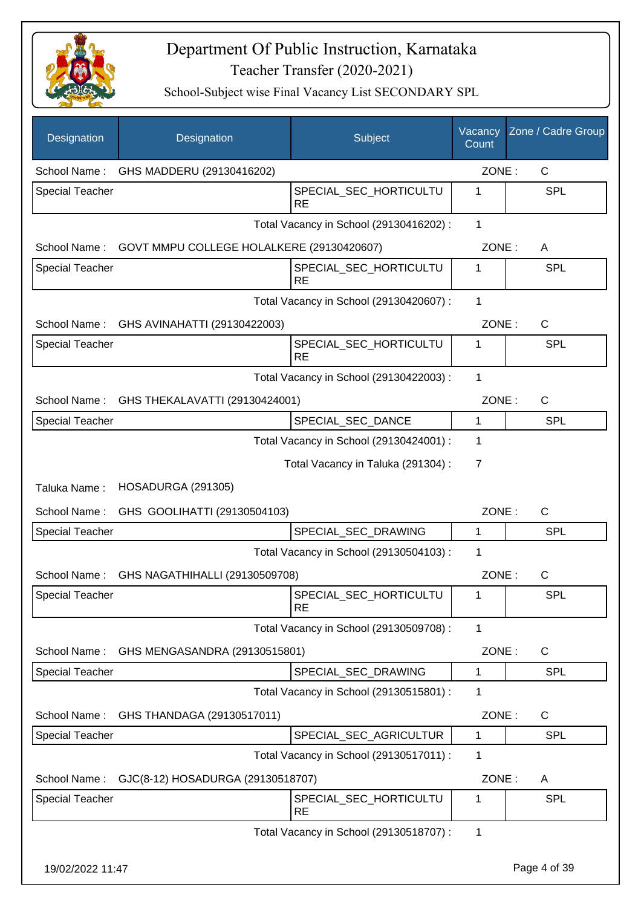

| Designation            | Designation                               | Subject                                 | Vacancy<br>Count | Zone / Cadre Group |
|------------------------|-------------------------------------------|-----------------------------------------|------------------|--------------------|
| School Name:           | GHS MADDERU (29130416202)                 |                                         | ZONE:            | $\mathsf{C}$       |
| Special Teacher        |                                           | SPECIAL_SEC_HORTICULTU<br><b>RE</b>     | 1                | SPL                |
|                        |                                           | Total Vacancy in School (29130416202) : | $\mathbf{1}$     |                    |
| School Name:           | GOVT MMPU COLLEGE HOLALKERE (29130420607) |                                         | ZONE:            | A                  |
| <b>Special Teacher</b> |                                           | SPECIAL_SEC_HORTICULTU<br><b>RE</b>     | 1                | <b>SPL</b>         |
|                        |                                           | Total Vacancy in School (29130420607) : | 1                |                    |
| School Name:           | GHS AVINAHATTI (29130422003)              |                                         | ZONE:            | C                  |
| <b>Special Teacher</b> |                                           | SPECIAL_SEC_HORTICULTU<br><b>RE</b>     | 1                | <b>SPL</b>         |
|                        |                                           | Total Vacancy in School (29130422003) : | $\mathbf{1}$     |                    |
| School Name:           | GHS THEKALAVATTI (29130424001)            |                                         | ZONE:            | C                  |
| <b>Special Teacher</b> |                                           | SPECIAL_SEC_DANCE                       | $\mathbf{1}$     | <b>SPL</b>         |
|                        |                                           | Total Vacancy in School (29130424001) : | 1                |                    |
|                        |                                           | Total Vacancy in Taluka (291304) :      | $\overline{7}$   |                    |
| Taluka Name:           | HOSADURGA (291305)                        |                                         |                  |                    |
| School Name:           | GHS GOOLIHATTI (29130504103)              |                                         | ZONE:            | $\mathsf{C}$       |
| <b>Special Teacher</b> |                                           | SPECIAL SEC DRAWING                     | 1                | <b>SPL</b>         |
|                        |                                           | Total Vacancy in School (29130504103) : | 1                |                    |
| School Name:           | GHS NAGATHIHALLI (29130509708)            |                                         | ZONE:            | $\mathsf{C}$       |
| Special Teacher        |                                           | SPECIAL_SEC_HORTICULTU<br><b>RE</b>     | 1                | <b>SPL</b>         |
|                        |                                           | Total Vacancy in School (29130509708) : | 1                |                    |
| School Name:           | GHS MENGASANDRA (29130515801)             |                                         | ZONE:            | $\mathsf{C}$       |
| <b>Special Teacher</b> |                                           | SPECIAL_SEC_DRAWING                     | $\mathbf 1$      | <b>SPL</b>         |
|                        |                                           | Total Vacancy in School (29130515801) : | 1                |                    |
| School Name:           | GHS THANDAGA (29130517011)                |                                         | ZONE:            | C                  |
| Special Teacher        |                                           | SPECIAL_SEC_AGRICULTUR                  | 1                | <b>SPL</b>         |
|                        |                                           | Total Vacancy in School (29130517011) : | 1                |                    |
| School Name:           | GJC(8-12) HOSADURGA (29130518707)         |                                         | ZONE:            | A                  |
| Special Teacher        |                                           | SPECIAL_SEC_HORTICULTU<br><b>RE</b>     | 1                | SPL                |
|                        |                                           | Total Vacancy in School (29130518707) : | 1                |                    |
| 19/02/2022 11:47       |                                           |                                         |                  | Page 4 of 39       |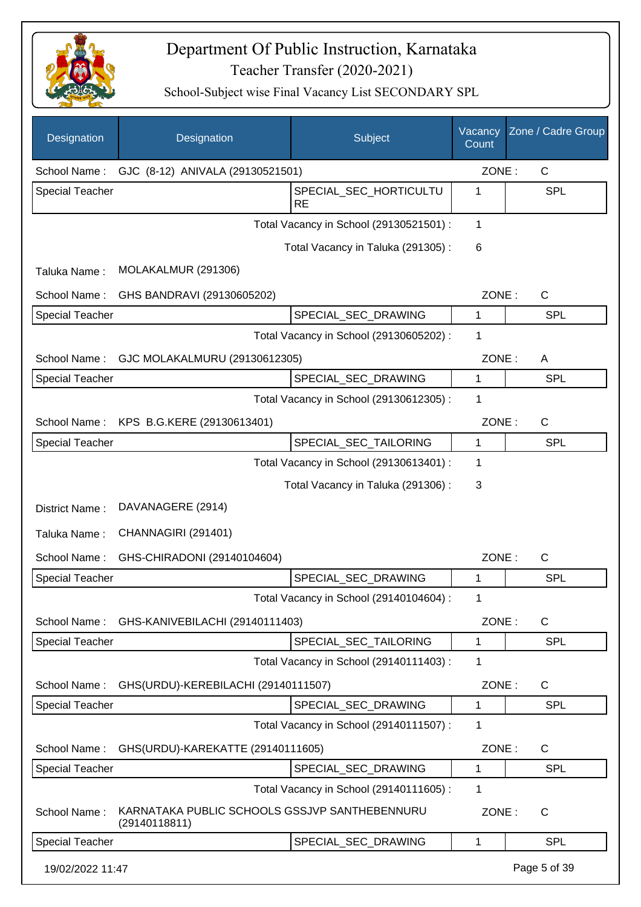

| Designation            | Designation                                                    | Subject                                 | Vacancy<br>Count | Zone / Cadre Group |
|------------------------|----------------------------------------------------------------|-----------------------------------------|------------------|--------------------|
| School Name:           | GJC (8-12) ANIVALA (29130521501)                               |                                         | ZONE:            | $\mathsf{C}$       |
| <b>Special Teacher</b> |                                                                | SPECIAL SEC HORTICULTU<br><b>RE</b>     | 1                | <b>SPL</b>         |
|                        |                                                                | Total Vacancy in School (29130521501) : | 1                |                    |
|                        |                                                                | Total Vacancy in Taluka (291305):       | 6                |                    |
| Taluka Name:           | MOLAKALMUR (291306)                                            |                                         |                  |                    |
| School Name:           | GHS BANDRAVI (29130605202)                                     |                                         | ZONE:            | $\mathsf{C}$       |
| <b>Special Teacher</b> |                                                                | SPECIAL_SEC_DRAWING                     | 1                | <b>SPL</b>         |
|                        |                                                                | Total Vacancy in School (29130605202) : | 1                |                    |
| School Name:           | GJC MOLAKALMURU (29130612305)                                  |                                         | ZONE:            | A                  |
| <b>Special Teacher</b> |                                                                | SPECIAL_SEC_DRAWING                     | 1                | SPL                |
|                        |                                                                | Total Vacancy in School (29130612305) : | 1                |                    |
| School Name:           | KPS B.G.KERE (29130613401)                                     |                                         | ZONE:            | $\mathsf{C}$       |
| Special Teacher        |                                                                | SPECIAL_SEC_TAILORING                   | 1                | <b>SPL</b>         |
|                        |                                                                | Total Vacancy in School (29130613401) : | 1                |                    |
|                        |                                                                | Total Vacancy in Taluka (291306):       | 3                |                    |
| District Name:         | DAVANAGERE (2914)                                              |                                         |                  |                    |
| Taluka Name:           | CHANNAGIRI (291401)                                            |                                         |                  |                    |
| School Name:           | GHS-CHIRADONI (29140104604)                                    |                                         | ZONE:            | $\mathsf{C}$       |
| <b>Special Teacher</b> |                                                                | SPECIAL_SEC_DRAWING                     | 1                | <b>SPL</b>         |
|                        |                                                                | Total Vacancy in School (29140104604) : | 1                |                    |
| School Name:           | GHS-KANIVEBILACHI (29140111403)                                |                                         | ZONE:            | C                  |
| <b>Special Teacher</b> |                                                                | SPECIAL SEC TAILORING                   | 1                | <b>SPL</b>         |
|                        |                                                                | Total Vacancy in School (29140111403) : | 1                |                    |
| School Name:           | GHS(URDU)-KEREBILACHI (29140111507)                            |                                         | ZONE:            | $\mathsf{C}$       |
| <b>Special Teacher</b> |                                                                | SPECIAL SEC DRAWING                     | 1                | <b>SPL</b>         |
|                        |                                                                | Total Vacancy in School (29140111507) : | 1                |                    |
| School Name:           | GHS(URDU)-KAREKATTE (29140111605)                              |                                         | ZONE:            | C                  |
| <b>Special Teacher</b> |                                                                | SPECIAL_SEC_DRAWING                     | 1                | <b>SPL</b>         |
|                        |                                                                | Total Vacancy in School (29140111605) : | 1                |                    |
| School Name:           | KARNATAKA PUBLIC SCHOOLS GSSJVP SANTHEBENNURU<br>(29140118811) |                                         | ZONE:            | C                  |
| <b>Special Teacher</b> |                                                                | SPECIAL_SEC_DRAWING                     | 1                | <b>SPL</b>         |
| 19/02/2022 11:47       |                                                                |                                         |                  | Page 5 of 39       |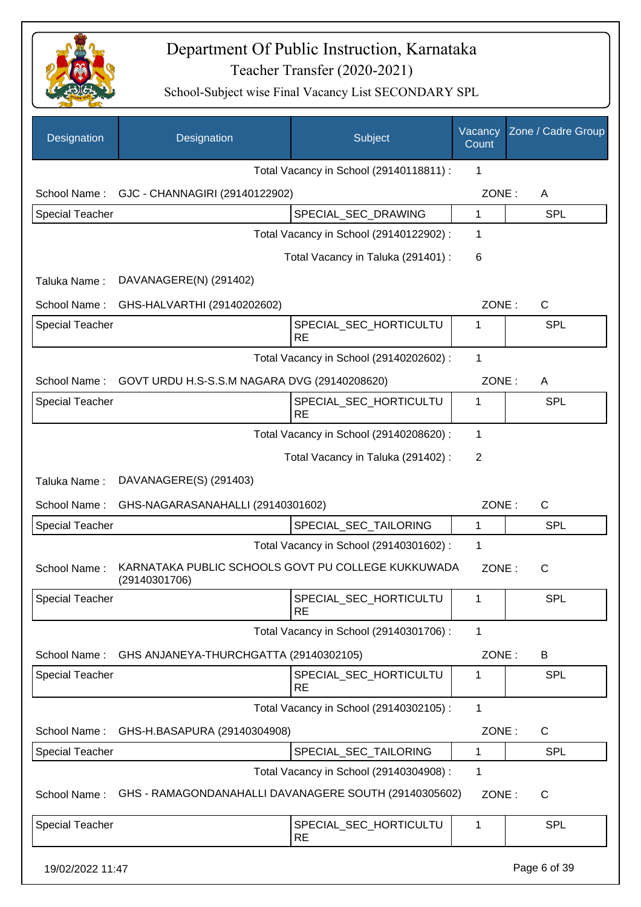

| Designation            | Designation                                                         | Subject                                 | Vacancy<br>Count | Zone / Cadre Group |
|------------------------|---------------------------------------------------------------------|-----------------------------------------|------------------|--------------------|
|                        |                                                                     | Total Vacancy in School (29140118811) : | 1                |                    |
| School Name:           | GJC - CHANNAGIRI (29140122902)                                      |                                         | ZONE:            | A                  |
| <b>Special Teacher</b> |                                                                     | SPECIAL_SEC_DRAWING                     | $\mathbf{1}$     | <b>SPL</b>         |
|                        |                                                                     | Total Vacancy in School (29140122902) : | 1                |                    |
|                        |                                                                     | Total Vacancy in Taluka (291401) :      | 6                |                    |
| Taluka Name:           | DAVANAGERE(N) (291402)                                              |                                         |                  |                    |
| School Name:           | GHS-HALVARTHI (29140202602)                                         |                                         | ZONE:            | C                  |
| <b>Special Teacher</b> |                                                                     | SPECIAL_SEC_HORTICULTU<br><b>RE</b>     | 1                | <b>SPL</b>         |
|                        |                                                                     | Total Vacancy in School (29140202602) : | 1                |                    |
| School Name:           | GOVT URDU H.S-S.S.M NAGARA DVG (29140208620)                        |                                         | ZONE:            | A                  |
| <b>Special Teacher</b> |                                                                     | SPECIAL_SEC_HORTICULTU<br><b>RE</b>     | 1                | <b>SPL</b>         |
|                        |                                                                     | Total Vacancy in School (29140208620) : | 1                |                    |
|                        |                                                                     | Total Vacancy in Taluka (291402) :      | 2                |                    |
| Taluka Name:           | DAVANAGERE(S) (291403)                                              |                                         |                  |                    |
| School Name:           | GHS-NAGARASANAHALLI (29140301602)                                   |                                         | ZONE:            | C                  |
| <b>Special Teacher</b> |                                                                     | SPECIAL_SEC_TAILORING                   | 1                | <b>SPL</b>         |
|                        |                                                                     | Total Vacancy in School (29140301602) : | 1                |                    |
| School Name:           | KARNATAKA PUBLIC SCHOOLS GOVT PU COLLEGE KUKKUWADA<br>(29140301706) |                                         | ZONE:            | C                  |
| <b>Special Teacher</b> |                                                                     | SPECIAL_SEC_HORTICULTU<br><b>RE</b>     | 1                | <b>SPL</b>         |
|                        |                                                                     | Total Vacancy in School (29140301706) : | $\mathbf{1}$     |                    |
| School Name:           | GHS ANJANEYA-THURCHGATTA (29140302105)                              |                                         | ZONE:            | B                  |
| <b>Special Teacher</b> |                                                                     | SPECIAL_SEC_HORTICULTU<br><b>RE</b>     | 1                | <b>SPL</b>         |
|                        |                                                                     | Total Vacancy in School (29140302105) : | 1                |                    |
| School Name:           | GHS-H.BASAPURA (29140304908)                                        |                                         | ZONE:            | $\mathsf{C}$       |
| <b>Special Teacher</b> |                                                                     | SPECIAL_SEC_TAILORING                   | 1                | <b>SPL</b>         |
|                        |                                                                     | Total Vacancy in School (29140304908) : | 1                |                    |
| School Name:           | GHS - RAMAGONDANAHALLI DAVANAGERE SOUTH (29140305602)               |                                         | ZONE:            | C                  |
| <b>Special Teacher</b> |                                                                     | SPECIAL_SEC_HORTICULTU<br><b>RE</b>     | 1                | <b>SPL</b>         |
| 19/02/2022 11:47       |                                                                     |                                         |                  | Page 6 of 39       |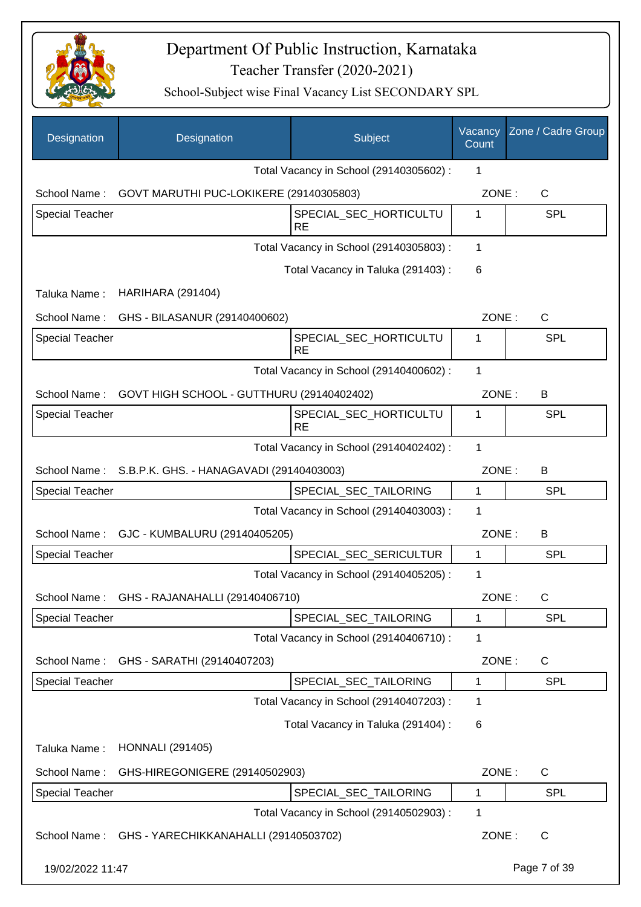

| Designation            | Designation                                          | Subject                                 | Vacancy<br>Count | Zone / Cadre Group |
|------------------------|------------------------------------------------------|-----------------------------------------|------------------|--------------------|
|                        |                                                      | Total Vacancy in School (29140305602) : | 1                |                    |
|                        | School Name: GOVT MARUTHI PUC-LOKIKERE (29140305803) |                                         | ZONE:            | $\mathsf{C}$       |
| <b>Special Teacher</b> |                                                      | SPECIAL_SEC_HORTICULTU<br><b>RE</b>     | 1                | <b>SPL</b>         |
|                        |                                                      | Total Vacancy in School (29140305803) : | 1                |                    |
|                        |                                                      | Total Vacancy in Taluka (291403):       | 6                |                    |
| Taluka Name:           | <b>HARIHARA (291404)</b>                             |                                         |                  |                    |
| School Name:           | GHS - BILASANUR (29140400602)                        |                                         | ZONE:            | C                  |
| <b>Special Teacher</b> |                                                      | SPECIAL_SEC_HORTICULTU<br><b>RE</b>     | 1                | <b>SPL</b>         |
|                        |                                                      | Total Vacancy in School (29140400602) : | $\mathbf{1}$     |                    |
| School Name:           | GOVT HIGH SCHOOL - GUTTHURU (29140402402)            |                                         | ZONE:            | B                  |
| <b>Special Teacher</b> |                                                      | SPECIAL_SEC_HORTICULTU<br><b>RE</b>     | 1                | SPL                |
|                        |                                                      | Total Vacancy in School (29140402402) : | 1                |                    |
| School Name:           | S.B.P.K. GHS. - HANAGAVADI (29140403003)             |                                         | ZONE:            | B                  |
| <b>Special Teacher</b> |                                                      | SPECIAL_SEC_TAILORING                   | 1                | <b>SPL</b>         |
|                        |                                                      | Total Vacancy in School (29140403003) : | 1                |                    |
| School Name:           | GJC - KUMBALURU (29140405205)                        |                                         | ZONE:            | B                  |
| <b>Special Teacher</b> |                                                      | SPECIAL_SEC_SERICULTUR                  | 1                | SPL                |
|                        |                                                      | Total Vacancy in School (29140405205) : | 1                |                    |
| School Name:           | GHS - RAJANAHALLI (29140406710)                      |                                         | ZONE:            | $\mathsf{C}$       |
| Special Teacher        |                                                      | SPECIAL_SEC_TAILORING                   | 1                | SPL                |
|                        |                                                      | Total Vacancy in School (29140406710) : | 1                |                    |
| School Name:           | GHS - SARATHI (29140407203)                          |                                         | ZONE:            | C                  |
| <b>Special Teacher</b> |                                                      | SPECIAL SEC TAILORING                   | 1                | <b>SPL</b>         |
|                        |                                                      | Total Vacancy in School (29140407203) : | 1                |                    |
|                        |                                                      | Total Vacancy in Taluka (291404) :      | 6                |                    |
| Taluka Name:           | <b>HONNALI</b> (291405)                              |                                         |                  |                    |
| School Name:           | GHS-HIREGONIGERE (29140502903)                       |                                         | ZONE:            | C                  |
| Special Teacher        |                                                      | SPECIAL_SEC_TAILORING                   | 1                | SPL                |
|                        |                                                      | Total Vacancy in School (29140502903) : | 1                |                    |
| School Name:           | GHS - YARECHIKKANAHALLI (29140503702)                |                                         | ZONE:            | C                  |
| 19/02/2022 11:47       |                                                      |                                         |                  | Page 7 of 39       |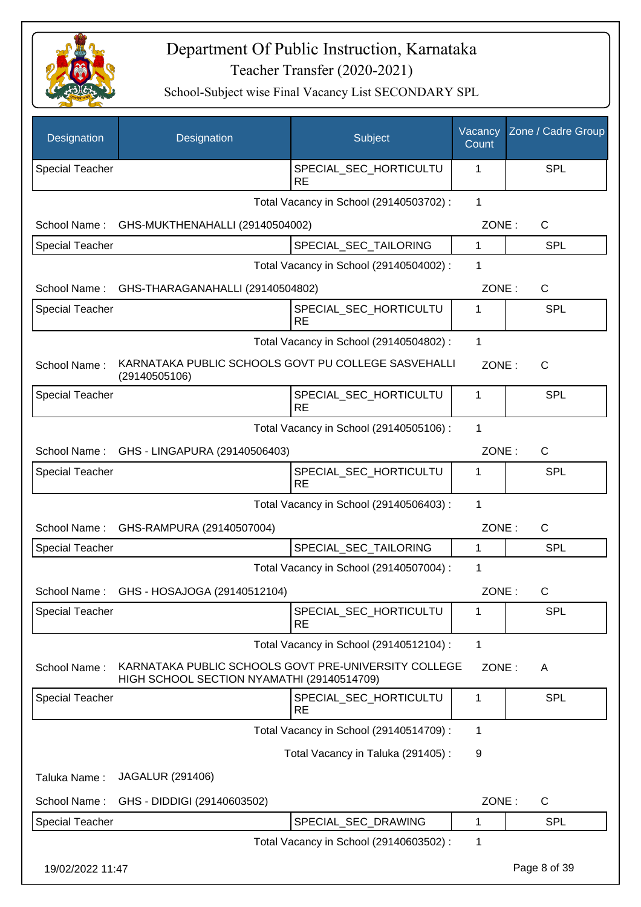

| Designation            | Designation                                                                                        | Subject                                 | Vacancy<br>Count | Zone / Cadre Group |
|------------------------|----------------------------------------------------------------------------------------------------|-----------------------------------------|------------------|--------------------|
| <b>Special Teacher</b> |                                                                                                    | SPECIAL_SEC_HORTICULTU<br>RE            | 1                | SPL                |
|                        |                                                                                                    | Total Vacancy in School (29140503702) : | $\mathbf{1}$     |                    |
| School Name:           | GHS-MUKTHENAHALLI (29140504002)                                                                    |                                         | ZONE:            | C                  |
| <b>Special Teacher</b> |                                                                                                    | SPECIAL_SEC_TAILORING                   | 1                | SPL                |
|                        |                                                                                                    | Total Vacancy in School (29140504002) : | 1                |                    |
| School Name:           | GHS-THARAGANAHALLI (29140504802)                                                                   |                                         | ZONE:            | C                  |
| <b>Special Teacher</b> |                                                                                                    | SPECIAL_SEC_HORTICULTU<br><b>RE</b>     | 1                | <b>SPL</b>         |
|                        |                                                                                                    | Total Vacancy in School (29140504802) : | 1                |                    |
| School Name:           | KARNATAKA PUBLIC SCHOOLS GOVT PU COLLEGE SASVEHALLI<br>(29140505106)                               |                                         | ZONE:            | C                  |
| <b>Special Teacher</b> |                                                                                                    | SPECIAL SEC HORTICULTU<br>RE            | $\mathbf 1$      | SPL                |
|                        |                                                                                                    | Total Vacancy in School (29140505106) : | $\mathbf{1}$     |                    |
|                        | School Name: GHS - LINGAPURA (29140506403)                                                         |                                         | ZONE:            | C                  |
| <b>Special Teacher</b> |                                                                                                    | SPECIAL_SEC_HORTICULTU<br><b>RE</b>     | 1                | SPL                |
|                        |                                                                                                    | Total Vacancy in School (29140506403) : | 1                |                    |
| School Name:           | GHS-RAMPURA (29140507004)                                                                          |                                         | ZONE:            | $\mathsf C$        |
| <b>Special Teacher</b> |                                                                                                    | SPECIAL_SEC_TAILORING                   | 1                | <b>SPL</b>         |
|                        |                                                                                                    | Total Vacancy in School (29140507004) : | 1                |                    |
|                        | School Name: GHS - HOSAJOGA (29140512104)                                                          |                                         | ZONE:            | C                  |
| <b>Special Teacher</b> |                                                                                                    | SPECIAL_SEC_HORTICULTU<br><b>RE</b>     | 1                | <b>SPL</b>         |
|                        |                                                                                                    | Total Vacancy in School (29140512104) : | 1                |                    |
| School Name:           | KARNATAKA PUBLIC SCHOOLS GOVT PRE-UNIVERSITY COLLEGE<br>HIGH SCHOOL SECTION NYAMATHI (29140514709) |                                         | ZONE:            | A                  |
| Special Teacher        |                                                                                                    | SPECIAL_SEC_HORTICULTU<br><b>RE</b>     | $\mathbf 1$      | SPL                |
|                        |                                                                                                    | Total Vacancy in School (29140514709) : | 1                |                    |
|                        |                                                                                                    | Total Vacancy in Taluka (291405):       | 9                |                    |
| Taluka Name:           | JAGALUR (291406)                                                                                   |                                         |                  |                    |
| School Name:           | GHS - DIDDIGI (29140603502)                                                                        |                                         | ZONE:            | C                  |
| <b>Special Teacher</b> |                                                                                                    | SPECIAL_SEC_DRAWING                     | 1                | <b>SPL</b>         |
|                        |                                                                                                    | Total Vacancy in School (29140603502) : | 1                |                    |
| 19/02/2022 11:47       |                                                                                                    |                                         |                  | Page 8 of 39       |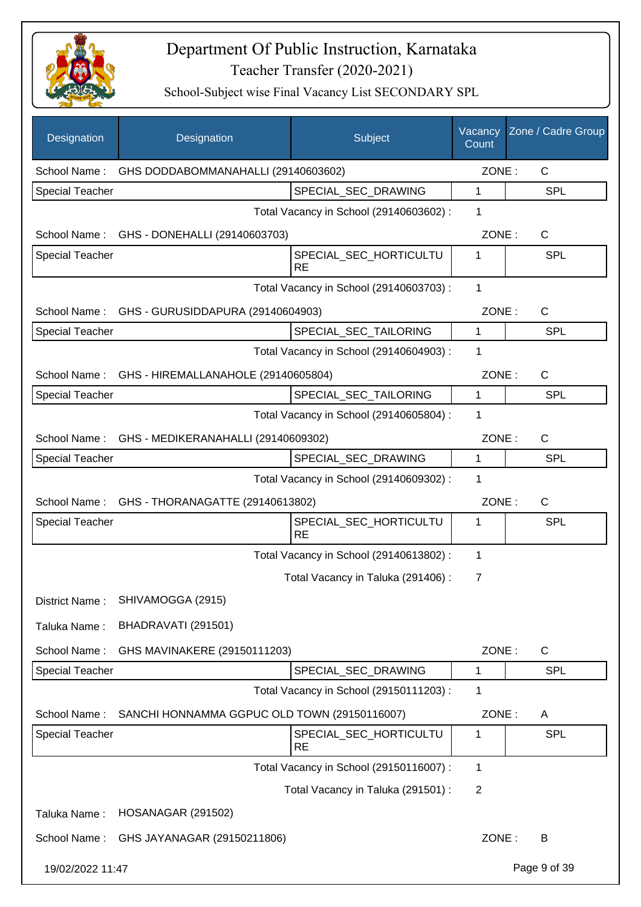

| Designation            | Designation                                      | Subject                                 | Vacancy<br>Count | Zone / Cadre Group |
|------------------------|--------------------------------------------------|-----------------------------------------|------------------|--------------------|
| School Name:           | GHS DODDABOMMANAHALLI (29140603602)              |                                         | ZONE:            | C                  |
| <b>Special Teacher</b> |                                                  | SPECIAL_SEC_DRAWING                     | 1                | <b>SPL</b>         |
|                        |                                                  | Total Vacancy in School (29140603602) : | 1                |                    |
|                        | School Name: GHS - DONEHALLI (29140603703)       |                                         | ZONE:            | C                  |
| <b>Special Teacher</b> |                                                  | SPECIAL SEC HORTICULTU<br><b>RE</b>     | 1                | <b>SPL</b>         |
|                        |                                                  | Total Vacancy in School (29140603703) : | 1                |                    |
|                        | School Name: GHS - GURUSIDDAPURA (29140604903)   |                                         | ZONE:            | $\mathsf{C}$       |
| Special Teacher        |                                                  | SPECIAL_SEC_TAILORING                   | $\mathbf{1}$     | <b>SPL</b>         |
|                        |                                                  | Total Vacancy in School (29140604903) : | 1                |                    |
|                        | School Name: GHS - HIREMALLANAHOLE (29140605804) |                                         | ZONE:            | C                  |
| <b>Special Teacher</b> |                                                  | SPECIAL SEC TAILORING                   | $\mathbf{1}$     | <b>SPL</b>         |
|                        |                                                  | Total Vacancy in School (29140605804) : | 1                |                    |
|                        | School Name: GHS - MEDIKERANAHALLI (29140609302) |                                         | ZONE:            | C                  |
| <b>Special Teacher</b> |                                                  | SPECIAL_SEC_DRAWING                     | $\mathbf{1}$     | <b>SPL</b>         |
|                        |                                                  | Total Vacancy in School (29140609302) : | 1                |                    |
|                        | School Name: GHS - THORANAGATTE (29140613802)    |                                         | ZONE:            | C                  |
| <b>Special Teacher</b> |                                                  | SPECIAL_SEC_HORTICULTU<br><b>RE</b>     | 1                | SPL                |
|                        |                                                  | Total Vacancy in School (29140613802) : | 1                |                    |
|                        |                                                  | Total Vacancy in Taluka (291406) :      | 7                |                    |
| District Name:         | SHIVAMOGGA (2915)                                |                                         |                  |                    |
| Taluka Name:           | BHADRAVATI (291501)                              |                                         |                  |                    |
| School Name:           | GHS MAVINAKERE (29150111203)                     |                                         | ZONE:            | $\mathsf C$        |
| Special Teacher        |                                                  | SPECIAL_SEC_DRAWING                     | 1                | SPL                |
|                        |                                                  | Total Vacancy in School (29150111203) : | 1                |                    |
| School Name:           | SANCHI HONNAMMA GGPUC OLD TOWN (29150116007)     |                                         | ZONE:            | Α                  |
| <b>Special Teacher</b> |                                                  | SPECIAL_SEC_HORTICULTU<br><b>RE</b>     | 1                | SPL                |
|                        |                                                  | Total Vacancy in School (29150116007) : | 1                |                    |
|                        |                                                  | Total Vacancy in Taluka (291501) :      | $\overline{2}$   |                    |
| Taluka Name:           | <b>HOSANAGAR (291502)</b>                        |                                         |                  |                    |
| School Name:           | GHS JAYANAGAR (29150211806)                      |                                         | ZONE:            | B                  |
| 19/02/2022 11:47       |                                                  |                                         |                  | Page 9 of 39       |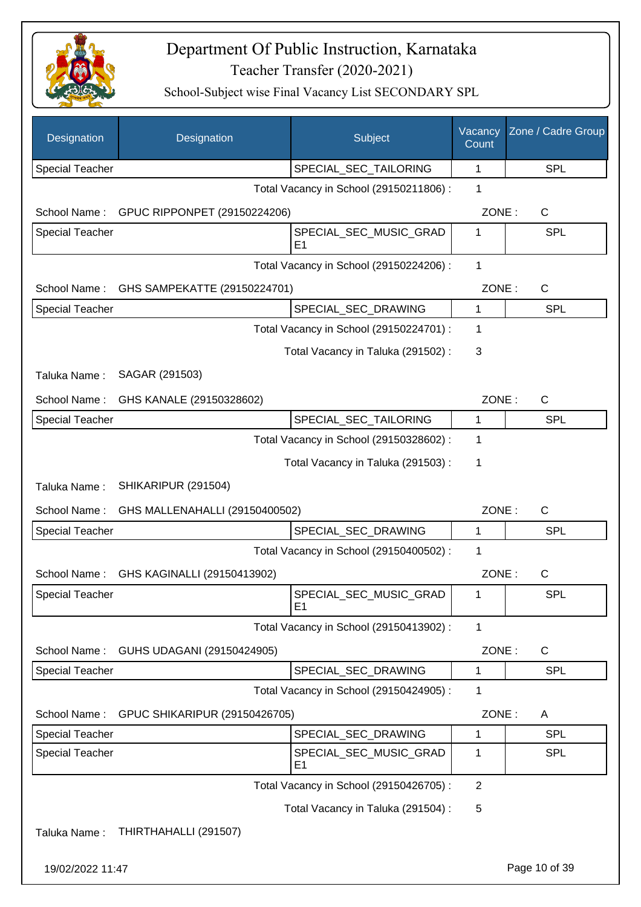

| Designation            | Designation                    | Subject                                 | Vacancy<br>Count | Zone / Cadre Group |
|------------------------|--------------------------------|-----------------------------------------|------------------|--------------------|
| <b>Special Teacher</b> |                                | SPECIAL_SEC_TAILORING                   | 1                | <b>SPL</b>         |
|                        |                                | Total Vacancy in School (29150211806) : | 1                |                    |
| School Name:           | GPUC RIPPONPET (29150224206)   |                                         | ZONE:            | C                  |
| Special Teacher        |                                | SPECIAL_SEC_MUSIC_GRAD<br>E1            | 1                | SPL                |
|                        |                                | Total Vacancy in School (29150224206) : | 1                |                    |
| School Name:           | GHS SAMPEKATTE (29150224701)   |                                         | ZONE:            | $\mathsf{C}$       |
| Special Teacher        |                                | SPECIAL_SEC_DRAWING                     | 1                | <b>SPL</b>         |
|                        |                                | Total Vacancy in School (29150224701) : | 1                |                    |
|                        |                                | Total Vacancy in Taluka (291502) :      | 3                |                    |
| Taluka Name:           | SAGAR (291503)                 |                                         |                  |                    |
| School Name:           | GHS KANALE (29150328602)       |                                         | ZONE:            | $\mathsf{C}$       |
| <b>Special Teacher</b> |                                | SPECIAL_SEC_TAILORING                   | 1                | <b>SPL</b>         |
|                        |                                | Total Vacancy in School (29150328602) : | 1                |                    |
|                        |                                | Total Vacancy in Taluka (291503) :      | 1                |                    |
| Taluka Name:           | SHIKARIPUR (291504)            |                                         |                  |                    |
| School Name:           | GHS MALLENAHALLI (29150400502) |                                         | ZONE:            | $\mathsf{C}$       |
| <b>Special Teacher</b> |                                | SPECIAL_SEC_DRAWING                     | 1                | <b>SPL</b>         |
|                        |                                | Total Vacancy in School (29150400502) : | 1                |                    |
| School Name:           | GHS KAGINALLI (29150413902)    |                                         | ZONE:            | C                  |
| Special Teacher        |                                | SPECIAL_SEC_MUSIC_GRAD<br>E1            | 1                | SPL                |
|                        |                                | Total Vacancy in School (29150413902) : | 1                |                    |
| School Name:           | GUHS UDAGANI (29150424905)     |                                         | ZONE:            | C                  |
| Special Teacher        |                                | SPECIAL_SEC_DRAWING                     | 1                | <b>SPL</b>         |
|                        |                                | Total Vacancy in School (29150424905) : | 1                |                    |
| School Name:           | GPUC SHIKARIPUR (29150426705)  |                                         | ZONE:            | A                  |
| <b>Special Teacher</b> |                                | SPECIAL_SEC_DRAWING                     | 1                | <b>SPL</b>         |
| <b>Special Teacher</b> |                                | SPECIAL_SEC_MUSIC_GRAD<br>E1            | 1                | <b>SPL</b>         |
|                        |                                | Total Vacancy in School (29150426705) : | $\overline{2}$   |                    |
|                        |                                | Total Vacancy in Taluka (291504) :      | 5                |                    |
| Taluka Name:           | THIRTHAHALLI (291507)          |                                         |                  |                    |
| 19/02/2022 11:47       |                                |                                         |                  | Page 10 of 39      |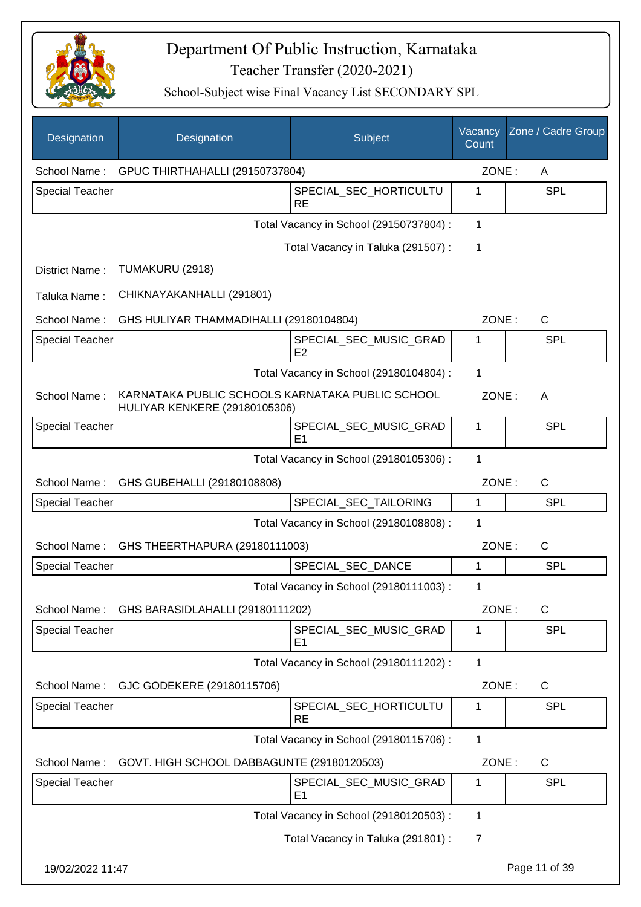

| <b>Designation</b>     | Designation                                                                              | Subject                                  | Vacancy<br>Count | Zone / Cadre Group |
|------------------------|------------------------------------------------------------------------------------------|------------------------------------------|------------------|--------------------|
| School Name:           | GPUC THIRTHAHALLI (29150737804)                                                          |                                          | ZONE:            | A                  |
| <b>Special Teacher</b> |                                                                                          | SPECIAL_SEC_HORTICULTU<br><b>RE</b>      | 1                | <b>SPL</b>         |
|                        |                                                                                          | Total Vacancy in School (29150737804) :  | $\mathbf{1}$     |                    |
|                        |                                                                                          | Total Vacancy in Taluka (291507) :       | 1                |                    |
| District Name:         | TUMAKURU (2918)                                                                          |                                          |                  |                    |
| Taluka Name:           | CHIKNAYAKANHALLI (291801)                                                                |                                          |                  |                    |
| School Name:           | GHS HULIYAR THAMMADIHALLI (29180104804)                                                  |                                          | ZONE:            | $\mathsf{C}$       |
| <b>Special Teacher</b> |                                                                                          | SPECIAL_SEC_MUSIC_GRAD<br>E <sub>2</sub> | 1                | <b>SPL</b>         |
|                        |                                                                                          | Total Vacancy in School (29180104804) :  | 1                |                    |
| School Name:           | KARNATAKA PUBLIC SCHOOLS KARNATAKA PUBLIC SCHOOL<br><b>HULIYAR KENKERE (29180105306)</b> |                                          | ZONE:            | A                  |
| <b>Special Teacher</b> |                                                                                          | SPECIAL_SEC_MUSIC_GRAD<br>E <sub>1</sub> | 1                | <b>SPL</b>         |
|                        |                                                                                          | Total Vacancy in School (29180105306) :  | 1                |                    |
| School Name:           | GHS GUBEHALLI (29180108808)                                                              |                                          | ZONE:            | $\mathsf{C}$       |
| <b>Special Teacher</b> |                                                                                          | SPECIAL_SEC_TAILORING                    | 1                | <b>SPL</b>         |
|                        |                                                                                          | Total Vacancy in School (29180108808) :  | 1                |                    |
| School Name:           | GHS THEERTHAPURA (29180111003)                                                           |                                          | ZONE:            | C                  |
| <b>Special Teacher</b> |                                                                                          | SPECIAL_SEC_DANCE                        | 1                | <b>SPL</b>         |
|                        |                                                                                          | Total Vacancy in School (29180111003) :  | 1                |                    |
| School Name:           | GHS BARASIDLAHALLI (29180111202)                                                         |                                          | ZONE:            | C                  |
| <b>Special Teacher</b> |                                                                                          | SPECIAL_SEC_MUSIC_GRAD<br>E <sub>1</sub> | 1                | <b>SPL</b>         |
|                        |                                                                                          | Total Vacancy in School (29180111202) :  | $\mathbf{1}$     |                    |
| School Name:           | GJC GODEKERE (29180115706)                                                               |                                          | ZONE:            | C                  |
| <b>Special Teacher</b> |                                                                                          | SPECIAL_SEC_HORTICULTU<br><b>RE</b>      | 1                | <b>SPL</b>         |
|                        |                                                                                          | Total Vacancy in School (29180115706) :  | $\mathbf{1}$     |                    |
| School Name:           | GOVT. HIGH SCHOOL DABBAGUNTE (29180120503)                                               |                                          | ZONE:            | C                  |
| Special Teacher        |                                                                                          | SPECIAL_SEC_MUSIC_GRAD<br>E <sub>1</sub> | 1                | <b>SPL</b>         |
|                        |                                                                                          | Total Vacancy in School (29180120503) :  | 1                |                    |
|                        |                                                                                          | Total Vacancy in Taluka (291801) :       | 7                |                    |
| 19/02/2022 11:47       |                                                                                          |                                          |                  | Page 11 of 39      |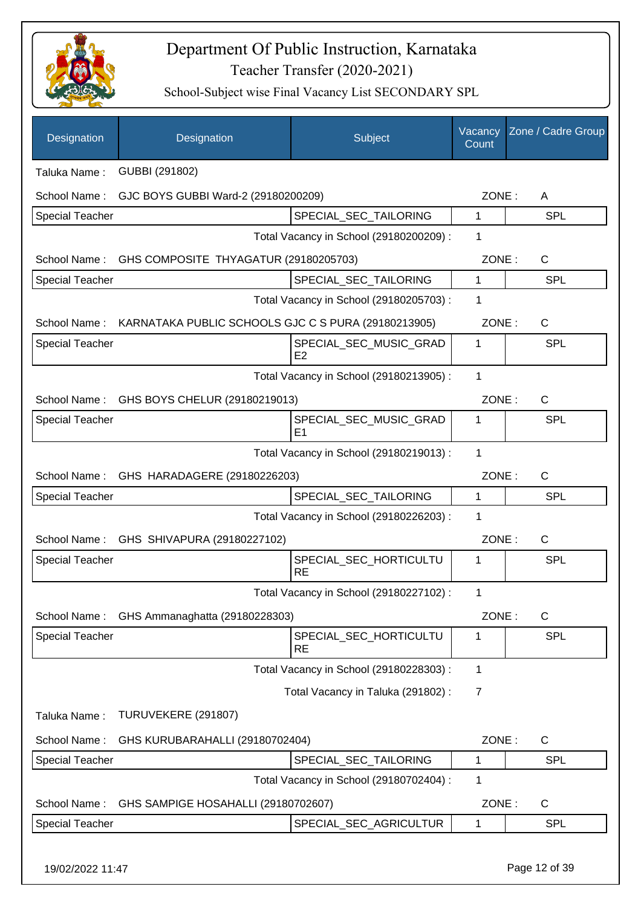

| Designation            | Designation                                                      | Subject                                  | Vacancy<br>Count | Zone / Cadre Group |
|------------------------|------------------------------------------------------------------|------------------------------------------|------------------|--------------------|
| Taluka Name:           | GUBBI (291802)                                                   |                                          |                  |                    |
| School Name:           | GJC BOYS GUBBI Ward-2 (29180200209)                              |                                          | ZONE:            | A                  |
| Special Teacher        |                                                                  | SPECIAL_SEC_TAILORING                    | 1                | <b>SPL</b>         |
|                        |                                                                  | Total Vacancy in School (29180200209) :  | 1                |                    |
| School Name:           | GHS COMPOSITE THYAGATUR (29180205703)                            |                                          | ZONE:            | $\mathsf{C}$       |
| <b>Special Teacher</b> |                                                                  | SPECIAL_SEC_TAILORING                    | 1                | <b>SPL</b>         |
|                        |                                                                  | Total Vacancy in School (29180205703) :  | 1                |                    |
|                        | School Name: KARNATAKA PUBLIC SCHOOLS GJC C S PURA (29180213905) |                                          | ZONE:            | C                  |
| <b>Special Teacher</b> |                                                                  | SPECIAL_SEC_MUSIC_GRAD<br>E <sub>2</sub> | 1                | <b>SPL</b>         |
|                        |                                                                  | Total Vacancy in School (29180213905) :  | 1                |                    |
| School Name:           | GHS BOYS CHELUR (29180219013)                                    |                                          | ZONE:            | $\mathsf{C}$       |
| Special Teacher        |                                                                  | SPECIAL SEC MUSIC GRAD<br>E1             | 1                | <b>SPL</b>         |
|                        |                                                                  | Total Vacancy in School (29180219013) :  | $\mathbf{1}$     |                    |
| School Name:           | GHS HARADAGERE (29180226203)                                     |                                          | ZONE:            | $\mathsf{C}$       |
| Special Teacher        |                                                                  | SPECIAL_SEC_TAILORING                    | 1                | <b>SPL</b>         |
|                        |                                                                  | Total Vacancy in School (29180226203) :  | 1                |                    |
| School Name:           | GHS SHIVAPURA (29180227102)                                      |                                          | ZONE:            | $\mathsf{C}$       |
| <b>Special Teacher</b> |                                                                  | SPECIAL_SEC_HORTICULTU<br><b>RE</b>      | 1                | <b>SPL</b>         |
|                        |                                                                  | Total Vacancy in School (29180227102) :  | 1                |                    |
| School Name:           | GHS Ammanaghatta (29180228303)                                   |                                          | ZONE:            | C                  |
| <b>Special Teacher</b> |                                                                  | SPECIAL_SEC_HORTICULTU<br><b>RE</b>      | 1                | <b>SPL</b>         |
|                        |                                                                  | Total Vacancy in School (29180228303) :  | 1                |                    |
|                        |                                                                  | Total Vacancy in Taluka (291802):        | 7                |                    |
| Taluka Name:           | TURUVEKERE (291807)                                              |                                          |                  |                    |
| School Name:           | GHS KURUBARAHALLI (29180702404)                                  |                                          | ZONE:            | C                  |
| Special Teacher        |                                                                  | SPECIAL_SEC_TAILORING                    | 1                | <b>SPL</b>         |
|                        |                                                                  | Total Vacancy in School (29180702404) :  | 1                |                    |
| School Name:           | GHS SAMPIGE HOSAHALLI (29180702607)                              |                                          | ZONE:            | C                  |
| <b>Special Teacher</b> |                                                                  | SPECIAL_SEC_AGRICULTUR                   | 1                | <b>SPL</b>         |
| 19/02/2022 11:47       |                                                                  |                                          |                  | Page 12 of 39      |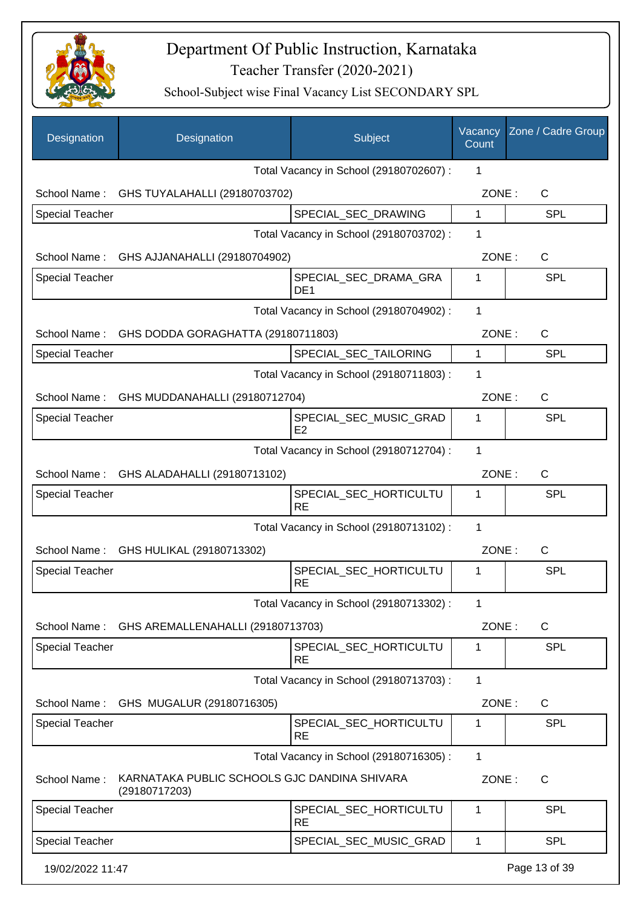

| Designation            | Designation                                                   | Subject                                  | Vacancy<br>Count | Zone / Cadre Group |
|------------------------|---------------------------------------------------------------|------------------------------------------|------------------|--------------------|
|                        |                                                               | Total Vacancy in School (29180702607) :  | 1                |                    |
|                        | School Name: GHS TUYALAHALLI (29180703702)                    |                                          | ZONE:            | $\mathsf{C}$       |
| <b>Special Teacher</b> |                                                               | SPECIAL_SEC_DRAWING                      | $\mathbf{1}$     | <b>SPL</b>         |
|                        |                                                               | Total Vacancy in School (29180703702) :  | 1                |                    |
|                        | School Name: GHS AJJANAHALLI (29180704902)                    |                                          | ZONE:            | $\mathsf{C}$       |
| <b>Special Teacher</b> |                                                               | SPECIAL_SEC_DRAMA_GRA<br>DE <sub>1</sub> | 1                | <b>SPL</b>         |
|                        |                                                               | Total Vacancy in School (29180704902) :  | $\mathbf{1}$     |                    |
|                        | School Name: GHS DODDA GORAGHATTA (29180711803)               |                                          | ZONE:            | $\mathsf{C}$       |
| <b>Special Teacher</b> |                                                               | SPECIAL_SEC_TAILORING                    | $\mathbf{1}$     | <b>SPL</b>         |
|                        |                                                               | Total Vacancy in School (29180711803) :  | 1                |                    |
|                        | School Name: GHS MUDDANAHALLI (29180712704)                   |                                          | ZONE:            | $\mathsf{C}$       |
| <b>Special Teacher</b> |                                                               | SPECIAL_SEC_MUSIC_GRAD<br>E2             | $\mathbf{1}$     | <b>SPL</b>         |
|                        |                                                               | Total Vacancy in School (29180712704) :  | 1                |                    |
|                        | School Name: GHS ALADAHALLI (29180713102)                     |                                          | ZONE:            | $\mathsf{C}$       |
| <b>Special Teacher</b> |                                                               | SPECIAL_SEC_HORTICULTU<br><b>RE</b>      | 1                | <b>SPL</b>         |
|                        |                                                               | Total Vacancy in School (29180713102) :  | 1                |                    |
|                        | School Name: GHS HULIKAL (29180713302)                        |                                          | ZONE:            | C                  |
| <b>Special Teacher</b> |                                                               | SPECIAL SEC HORTICULTU<br><b>RE</b>      | 1                | <b>SPL</b>         |
|                        |                                                               | Total Vacancy in School (29180713302) :  | 1                |                    |
|                        | School Name: GHS AREMALLENAHALLI (29180713703)                |                                          | ZONE:            | $\mathsf{C}$       |
| <b>Special Teacher</b> |                                                               | SPECIAL_SEC_HORTICULTU<br><b>RE</b>      | 1                | SPL                |
|                        |                                                               | Total Vacancy in School (29180713703) :  | 1                |                    |
| School Name:           | GHS MUGALUR (29180716305)                                     |                                          | ZONE:            | C                  |
| <b>Special Teacher</b> |                                                               | SPECIAL_SEC_HORTICULTU<br><b>RE</b>      | 1                | <b>SPL</b>         |
|                        |                                                               | Total Vacancy in School (29180716305) :  | 1                |                    |
| School Name:           | KARNATAKA PUBLIC SCHOOLS GJC DANDINA SHIVARA<br>(29180717203) |                                          | ZONE:            | $\mathsf{C}$       |
| <b>Special Teacher</b> |                                                               | SPECIAL_SEC_HORTICULTU<br><b>RE</b>      | 1                | <b>SPL</b>         |
| <b>Special Teacher</b> |                                                               | SPECIAL_SEC_MUSIC_GRAD                   | 1                | SPL                |
| 19/02/2022 11:47       |                                                               |                                          |                  | Page 13 of 39      |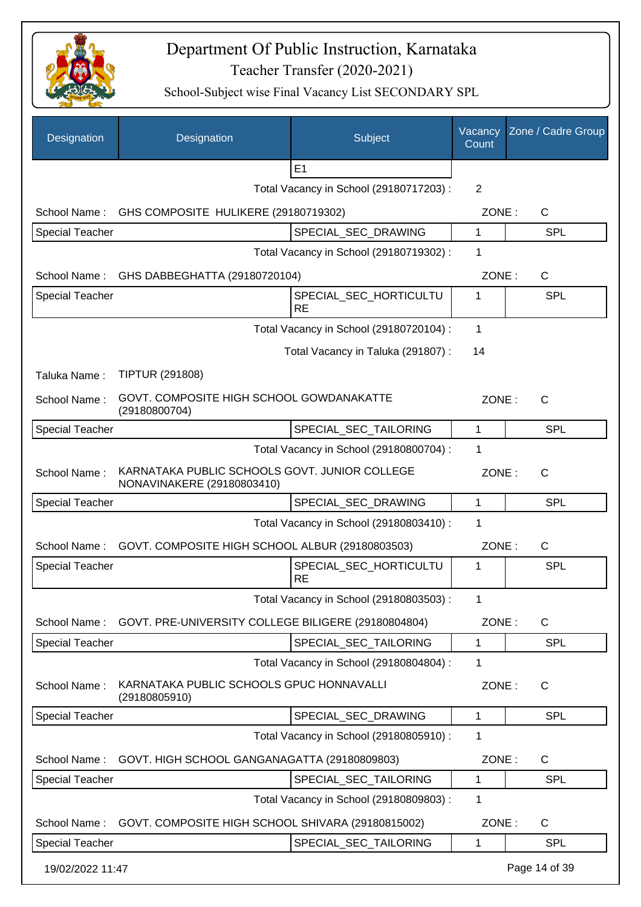

| Designation            | Designation                                                                 | Subject                                 | Vacancy<br>Count | Zone / Cadre Group |
|------------------------|-----------------------------------------------------------------------------|-----------------------------------------|------------------|--------------------|
|                        |                                                                             | E1                                      |                  |                    |
|                        |                                                                             | Total Vacancy in School (29180717203) : | $\overline{2}$   |                    |
| School Name:           | GHS COMPOSITE HULIKERE (29180719302)                                        |                                         | ZONE:            | $\mathsf{C}$       |
| <b>Special Teacher</b> |                                                                             | SPECIAL_SEC_DRAWING                     | 1                | <b>SPL</b>         |
|                        |                                                                             | Total Vacancy in School (29180719302) : | 1                |                    |
|                        | School Name: GHS DABBEGHATTA (29180720104)                                  |                                         | ZONE:            | $\mathsf{C}$       |
| <b>Special Teacher</b> |                                                                             | SPECIAL_SEC_HORTICULTU<br><b>RE</b>     | 1                | <b>SPL</b>         |
|                        |                                                                             | Total Vacancy in School (29180720104) : | 1                |                    |
|                        |                                                                             | Total Vacancy in Taluka (291807):       | 14               |                    |
| Taluka Name:           | <b>TIPTUR (291808)</b>                                                      |                                         |                  |                    |
| School Name:           | GOVT. COMPOSITE HIGH SCHOOL GOWDANAKATTE<br>(29180800704)                   |                                         | ZONE:            | C                  |
| <b>Special Teacher</b> |                                                                             | SPECIAL_SEC_TAILORING                   | 1                | <b>SPL</b>         |
|                        |                                                                             | Total Vacancy in School (29180800704) : | 1                |                    |
| School Name:           | KARNATAKA PUBLIC SCHOOLS GOVT. JUNIOR COLLEGE<br>NONAVINAKERE (29180803410) |                                         | ZONE:            | $\mathsf{C}$       |
| <b>Special Teacher</b> |                                                                             | SPECIAL_SEC_DRAWING                     | 1                | <b>SPL</b>         |
|                        |                                                                             | Total Vacancy in School (29180803410) : | 1                |                    |
| School Name:           | GOVT. COMPOSITE HIGH SCHOOL ALBUR (29180803503)                             |                                         | ZONE:            | C                  |
| <b>Special Teacher</b> |                                                                             | SPECIAL_SEC_HORTICULTU<br><b>RE</b>     | 1                | <b>SPL</b>         |
|                        |                                                                             | Total Vacancy in School (29180803503):  | 1                |                    |
| School Name:           | GOVT. PRE-UNIVERSITY COLLEGE BILIGERE (29180804804)                         |                                         | ZONE:            | C                  |
| <b>Special Teacher</b> |                                                                             | SPECIAL_SEC_TAILORING                   | 1                | SPL                |
|                        |                                                                             | Total Vacancy in School (29180804804) : | 1                |                    |
| School Name:           | KARNATAKA PUBLIC SCHOOLS GPUC HONNAVALLI<br>(29180805910)                   |                                         | ZONE:            | $\mathsf{C}$       |
| <b>Special Teacher</b> |                                                                             | SPECIAL_SEC_DRAWING                     | 1                | <b>SPL</b>         |
|                        |                                                                             | Total Vacancy in School (29180805910) : | 1                |                    |
| School Name:           | GOVT. HIGH SCHOOL GANGANAGATTA (29180809803)                                |                                         | ZONE:            | $\mathsf{C}$       |
| <b>Special Teacher</b> |                                                                             | SPECIAL_SEC_TAILORING                   | 1                | <b>SPL</b>         |
|                        |                                                                             | Total Vacancy in School (29180809803) : | 1                |                    |
| School Name:           | GOVT. COMPOSITE HIGH SCHOOL SHIVARA (29180815002)                           |                                         | ZONE:            | C                  |
| <b>Special Teacher</b> |                                                                             | SPECIAL_SEC_TAILORING                   | 1                | <b>SPL</b>         |
| 19/02/2022 11:47       |                                                                             |                                         |                  | Page 14 of 39      |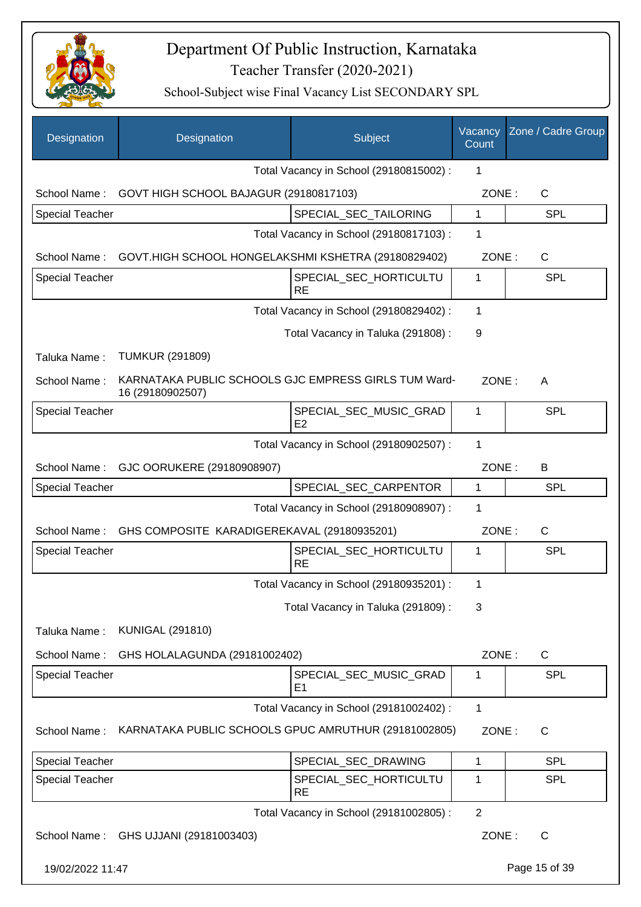

| Designation            | Designation                                                              | <b>Subject</b>                          | Vacancy<br>Count | Zone / Cadre Group |
|------------------------|--------------------------------------------------------------------------|-----------------------------------------|------------------|--------------------|
|                        |                                                                          | Total Vacancy in School (29180815002) : | 1                |                    |
| School Name:           | GOVT HIGH SCHOOL BAJAGUR (29180817103)                                   |                                         | ZONE:            | C                  |
| <b>Special Teacher</b> |                                                                          | SPECIAL_SEC_TAILORING                   | $\mathbf{1}$     | <b>SPL</b>         |
|                        |                                                                          | Total Vacancy in School (29180817103) : | 1                |                    |
| School Name:           | GOVT.HIGH SCHOOL HONGELAKSHMI KSHETRA (29180829402)                      |                                         | ZONE:            | $\mathsf{C}$       |
| <b>Special Teacher</b> |                                                                          | SPECIAL_SEC_HORTICULTU<br><b>RE</b>     | 1                | <b>SPL</b>         |
|                        |                                                                          | Total Vacancy in School (29180829402) : | 1                |                    |
|                        |                                                                          | Total Vacancy in Taluka (291808) :      | 9                |                    |
| Taluka Name:           | <b>TUMKUR (291809)</b>                                                   |                                         |                  |                    |
| School Name:           | KARNATAKA PUBLIC SCHOOLS GJC EMPRESS GIRLS TUM Ward-<br>16 (29180902507) |                                         | ZONE:            | A                  |
| <b>Special Teacher</b> |                                                                          | SPECIAL SEC MUSIC GRAD<br>E2            | 1                | <b>SPL</b>         |
|                        |                                                                          | Total Vacancy in School (29180902507) : | 1                |                    |
| School Name:           | GJC OORUKERE (29180908907)                                               |                                         | ZONE:            | B                  |
| <b>Special Teacher</b> |                                                                          | SPECIAL_SEC_CARPENTOR                   | 1                | <b>SPL</b>         |
|                        |                                                                          | Total Vacancy in School (29180908907) : | 1                |                    |
| School Name:           | GHS COMPOSITE KARADIGEREKAVAL (29180935201)                              |                                         | ZONE:            | $\mathsf{C}$       |
| <b>Special Teacher</b> |                                                                          | SPECIAL_SEC_HORTICULTU<br><b>RE</b>     | 1                | <b>SPL</b>         |
|                        |                                                                          | Total Vacancy in School (29180935201) : | 1                |                    |
|                        |                                                                          | Total Vacancy in Taluka (291809):       | 3                |                    |
| Taluka Name:           | <b>KUNIGAL (291810)</b>                                                  |                                         |                  |                    |
| School Name:           | GHS HOLALAGUNDA (29181002402)                                            |                                         | ZONE:            | $\mathsf{C}$       |
| <b>Special Teacher</b> |                                                                          | SPECIAL SEC MUSIC GRAD<br>E1            | 1                | <b>SPL</b>         |
|                        |                                                                          | Total Vacancy in School (29181002402) : | 1                |                    |
| School Name:           | KARNATAKA PUBLIC SCHOOLS GPUC AMRUTHUR (29181002805)                     |                                         | ZONE:            | C                  |
| <b>Special Teacher</b> |                                                                          | SPECIAL_SEC_DRAWING                     | 1                | <b>SPL</b>         |
| <b>Special Teacher</b> |                                                                          | SPECIAL_SEC_HORTICULTU<br><b>RE</b>     | 1                | <b>SPL</b>         |
|                        |                                                                          | Total Vacancy in School (29181002805) : | $\overline{2}$   |                    |
|                        | School Name: GHS UJJANI (29181003403)                                    |                                         | ZONE:            | $\mathsf{C}$       |
| 19/02/2022 11:47       |                                                                          |                                         |                  | Page 15 of 39      |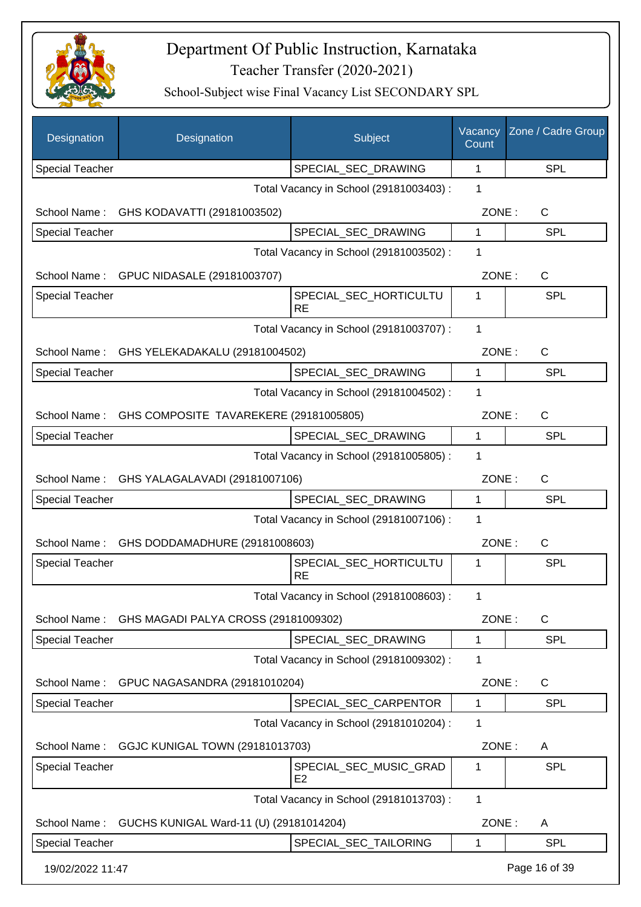

| Designation            | Designation                                 | Subject                                  | Vacancy<br>Count | Zone / Cadre Group |
|------------------------|---------------------------------------------|------------------------------------------|------------------|--------------------|
| <b>Special Teacher</b> |                                             | SPECIAL_SEC_DRAWING                      | 1                | <b>SPL</b>         |
|                        |                                             | Total Vacancy in School (29181003403) :  | 1                |                    |
| School Name:           | GHS KODAVATTI (29181003502)                 |                                          | ZONE:            | $\mathsf{C}$       |
| <b>Special Teacher</b> |                                             | SPECIAL_SEC_DRAWING                      | 1                | <b>SPL</b>         |
|                        |                                             | Total Vacancy in School (29181003502) :  | 1                |                    |
| School Name:           | GPUC NIDASALE (29181003707)                 |                                          | ZONE:            | $\mathsf{C}$       |
| Special Teacher        |                                             | SPECIAL_SEC_HORTICULTU                   | 1                | <b>SPL</b>         |
|                        |                                             | <b>RE</b>                                |                  |                    |
|                        |                                             | Total Vacancy in School (29181003707) :  | 1                |                    |
| School Name:           | GHS YELEKADAKALU (29181004502)              |                                          | ZONE:            | C                  |
| <b>Special Teacher</b> |                                             | SPECIAL_SEC_DRAWING                      | 1                | <b>SPL</b>         |
|                        |                                             | Total Vacancy in School (29181004502) :  | 1                |                    |
| School Name:           | GHS COMPOSITE TAVAREKERE (29181005805)      |                                          | ZONE:            | $\mathsf{C}$       |
| <b>Special Teacher</b> |                                             | SPECIAL_SEC_DRAWING                      | 1                | <b>SPL</b>         |
|                        |                                             | Total Vacancy in School (29181005805) :  | 1                |                    |
|                        | School Name: GHS YALAGALAVADI (29181007106) |                                          | ZONE:            | C                  |
| <b>Special Teacher</b> |                                             | SPECIAL_SEC_DRAWING                      | $\mathbf{1}$     | <b>SPL</b>         |
|                        |                                             | Total Vacancy in School (29181007106) :  | 1                |                    |
| School Name:           | GHS DODDAMADHURE (29181008603)              |                                          | ZONE:            | C                  |
| <b>Special Teacher</b> |                                             | SPECIAL SEC HORTICULTU<br><b>RE</b>      | 1                | <b>SPL</b>         |
|                        |                                             | Total Vacancy in School (29181008603) :  |                  |                    |
| School Name:           | GHS MAGADI PALYA CROSS (29181009302)        |                                          | ZONE:            | C                  |
| <b>Special Teacher</b> |                                             | SPECIAL_SEC_DRAWING                      | 1                | SPL                |
|                        |                                             | Total Vacancy in School (29181009302) :  | 1                |                    |
| School Name:           | GPUC NAGASANDRA (29181010204)               |                                          | ZONE:            | C                  |
| Special Teacher        |                                             | SPECIAL SEC CARPENTOR                    | 1                | <b>SPL</b>         |
|                        |                                             | Total Vacancy in School (29181010204) :  | 1                |                    |
| School Name:           | GGJC KUNIGAL TOWN (29181013703)             |                                          | ZONE:            | A                  |
| Special Teacher        |                                             | SPECIAL_SEC_MUSIC_GRAD<br>E <sub>2</sub> | 1                | SPL                |
|                        |                                             | Total Vacancy in School (29181013703) :  | 1                |                    |
| School Name:           | GUCHS KUNIGAL Ward-11 (U) (29181014204)     |                                          | ZONE:            | A                  |
| <b>Special Teacher</b> |                                             | SPECIAL_SEC_TAILORING                    | 1                | <b>SPL</b>         |
| 19/02/2022 11:47       |                                             |                                          |                  | Page 16 of 39      |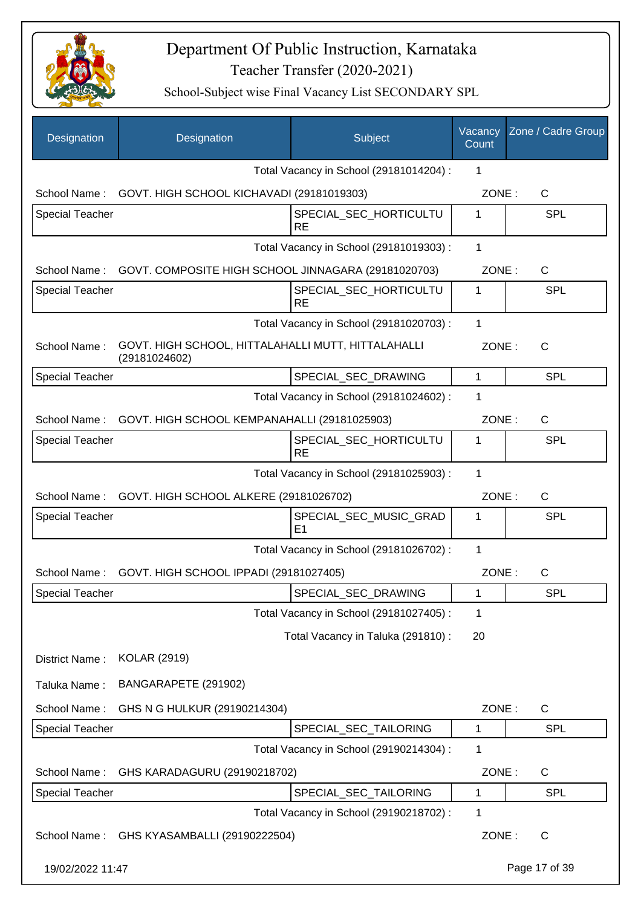

| Designation            | Designation                                                         | Subject                                  | Vacancy<br>Count | Zone / Cadre Group |
|------------------------|---------------------------------------------------------------------|------------------------------------------|------------------|--------------------|
|                        |                                                                     | Total Vacancy in School (29181014204) :  | 1                |                    |
| School Name:           | GOVT. HIGH SCHOOL KICHAVADI (29181019303)                           |                                          | ZONE:            | C                  |
| <b>Special Teacher</b> |                                                                     | SPECIAL_SEC_HORTICULTU<br><b>RE</b>      | 1                | <b>SPL</b>         |
|                        |                                                                     | Total Vacancy in School (29181019303) :  | 1                |                    |
| School Name:           | GOVT. COMPOSITE HIGH SCHOOL JINNAGARA (29181020703)                 |                                          | ZONE:            | C                  |
| <b>Special Teacher</b> |                                                                     | SPECIAL_SEC_HORTICULTU<br><b>RE</b>      | 1                | <b>SPL</b>         |
|                        |                                                                     | Total Vacancy in School (29181020703) :  | 1                |                    |
| School Name:           | GOVT. HIGH SCHOOL, HITTALAHALLI MUTT, HITTALAHALLI<br>(29181024602) |                                          | ZONE:            | $\mathsf{C}$       |
| <b>Special Teacher</b> |                                                                     | SPECIAL_SEC_DRAWING                      | 1                | <b>SPL</b>         |
|                        |                                                                     | Total Vacancy in School (29181024602) :  | 1                |                    |
| School Name:           | GOVT. HIGH SCHOOL KEMPANAHALLI (29181025903)                        |                                          | ZONE:            | $\mathsf{C}$       |
| <b>Special Teacher</b> |                                                                     | SPECIAL_SEC_HORTICULTU<br><b>RE</b>      | 1                | <b>SPL</b>         |
|                        |                                                                     | Total Vacancy in School (29181025903) :  | $\mathbf{1}$     |                    |
| School Name:           | GOVT. HIGH SCHOOL ALKERE (29181026702)                              |                                          | ZONE:            | $\mathsf{C}$       |
| <b>Special Teacher</b> |                                                                     | SPECIAL_SEC_MUSIC_GRAD<br>E <sub>1</sub> | 1                | <b>SPL</b>         |
|                        |                                                                     | Total Vacancy in School (29181026702) :  | $\mathbf{1}$     |                    |
|                        | School Name: GOVT. HIGH SCHOOL IPPADI (29181027405)                 |                                          | ZONE:            | C                  |
| Special Teacher        |                                                                     | SPECIAL_SEC_DRAWING                      | 1                | <b>SPL</b>         |
|                        |                                                                     | Total Vacancy in School (29181027405) :  | 1                |                    |
|                        |                                                                     | Total Vacancy in Taluka (291810) :       | 20               |                    |
| District Name:         | <b>KOLAR (2919)</b>                                                 |                                          |                  |                    |
| Taluka Name:           | BANGARAPETE (291902)                                                |                                          |                  |                    |
| School Name:           | GHS N G HULKUR (29190214304)                                        |                                          | ZONE:            | C                  |
| <b>Special Teacher</b> |                                                                     | SPECIAL_SEC_TAILORING                    | 1                | <b>SPL</b>         |
|                        |                                                                     | Total Vacancy in School (29190214304) :  | 1                |                    |
| School Name:           | GHS KARADAGURU (29190218702)                                        |                                          | ZONE:            | C                  |
| <b>Special Teacher</b> |                                                                     | SPECIAL_SEC_TAILORING                    | 1                | <b>SPL</b>         |
|                        |                                                                     | Total Vacancy in School (29190218702) :  | 1                |                    |
| School Name:           | GHS KYASAMBALLI (29190222504)                                       |                                          | ZONE:            | C                  |
| 19/02/2022 11:47       |                                                                     |                                          |                  | Page 17 of 39      |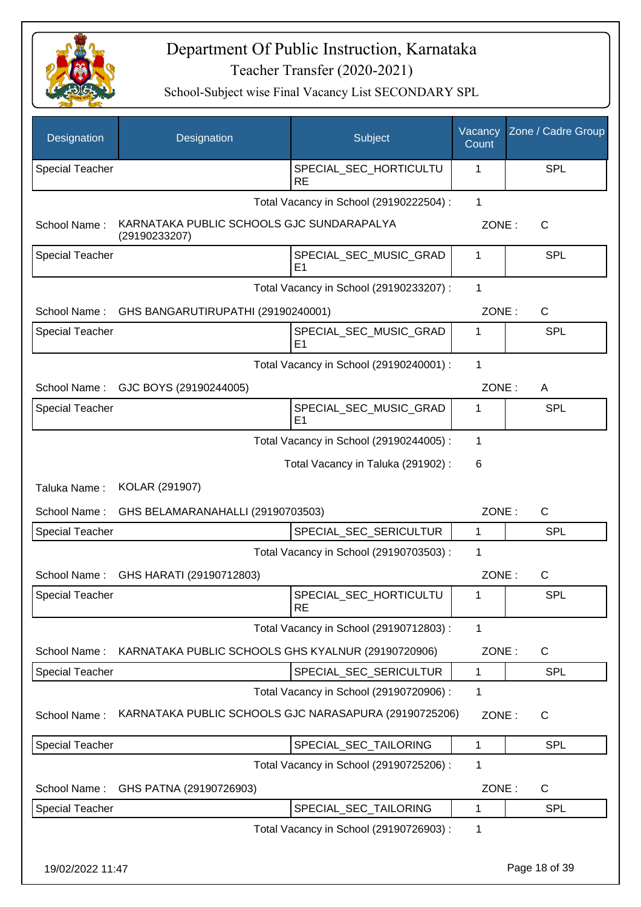

| Designation            | Designation                                                | Subject                                  | Vacancy<br>Count | Zone / Cadre Group |
|------------------------|------------------------------------------------------------|------------------------------------------|------------------|--------------------|
| <b>Special Teacher</b> |                                                            | SPECIAL_SEC_HORTICULTU<br><b>RE</b>      | 1                | <b>SPL</b>         |
|                        |                                                            | Total Vacancy in School (29190222504) :  | $\mathbf 1$      |                    |
| School Name:           | KARNATAKA PUBLIC SCHOOLS GJC SUNDARAPALYA<br>(29190233207) |                                          | ZONE:            | C                  |
| <b>Special Teacher</b> |                                                            | SPECIAL_SEC_MUSIC_GRAD<br>E <sub>1</sub> | 1                | <b>SPL</b>         |
|                        |                                                            | Total Vacancy in School (29190233207) :  | 1                |                    |
|                        | School Name: GHS BANGARUTIRUPATHI (29190240001)            |                                          | ZONE:            | $\mathsf{C}$       |
| <b>Special Teacher</b> |                                                            | SPECIAL_SEC_MUSIC_GRAD<br>E <sub>1</sub> | 1                | <b>SPL</b>         |
|                        |                                                            | Total Vacancy in School (29190240001) :  | 1                |                    |
| School Name:           | GJC BOYS (29190244005)                                     |                                          | ZONE:            | A                  |
| <b>Special Teacher</b> |                                                            | SPECIAL SEC MUSIC GRAD<br>E <sub>1</sub> | 1                | <b>SPL</b>         |
|                        |                                                            | Total Vacancy in School (29190244005) :  | 1                |                    |
|                        |                                                            | Total Vacancy in Taluka (291902) :       | 6                |                    |
| Taluka Name:           | KOLAR (291907)                                             |                                          |                  |                    |
| School Name:           | GHS BELAMARANAHALLI (29190703503)                          |                                          | ZONE:            | $\mathsf{C}$       |
| <b>Special Teacher</b> |                                                            | SPECIAL_SEC_SERICULTUR                   | 1                | <b>SPL</b>         |
|                        |                                                            | Total Vacancy in School (29190703503) :  | 1                |                    |
| School Name:           | GHS HARATI (29190712803)                                   |                                          | ZONE:            | C                  |
| Special Teacher        |                                                            | SPECIAL_SEC_HORTICULTU<br><b>RE</b>      | 1                | <b>SPL</b>         |
|                        |                                                            | Total Vacancy in School (29190712803) :  | 1                |                    |
| School Name:           | KARNATAKA PUBLIC SCHOOLS GHS KYALNUR (29190720906)         |                                          | ZONE:            | C                  |
| Special Teacher        |                                                            | SPECIAL_SEC_SERICULTUR                   | 1                | <b>SPL</b>         |
|                        |                                                            | Total Vacancy in School (29190720906) :  | 1                |                    |
| School Name:           | KARNATAKA PUBLIC SCHOOLS GJC NARASAPURA (29190725206)      |                                          | ZONE:            | C                  |
| <b>Special Teacher</b> |                                                            | SPECIAL_SEC_TAILORING                    | $\mathbf{1}$     | <b>SPL</b>         |
|                        |                                                            | Total Vacancy in School (29190725206) :  | 1                |                    |
| School Name:           | GHS PATNA (29190726903)                                    |                                          | ZONE:            | C                  |
| <b>Special Teacher</b> |                                                            | SPECIAL_SEC_TAILORING                    | 1                | <b>SPL</b>         |
|                        |                                                            | Total Vacancy in School (29190726903) :  | 1                |                    |
| 19/02/2022 11:47       |                                                            |                                          |                  | Page 18 of 39      |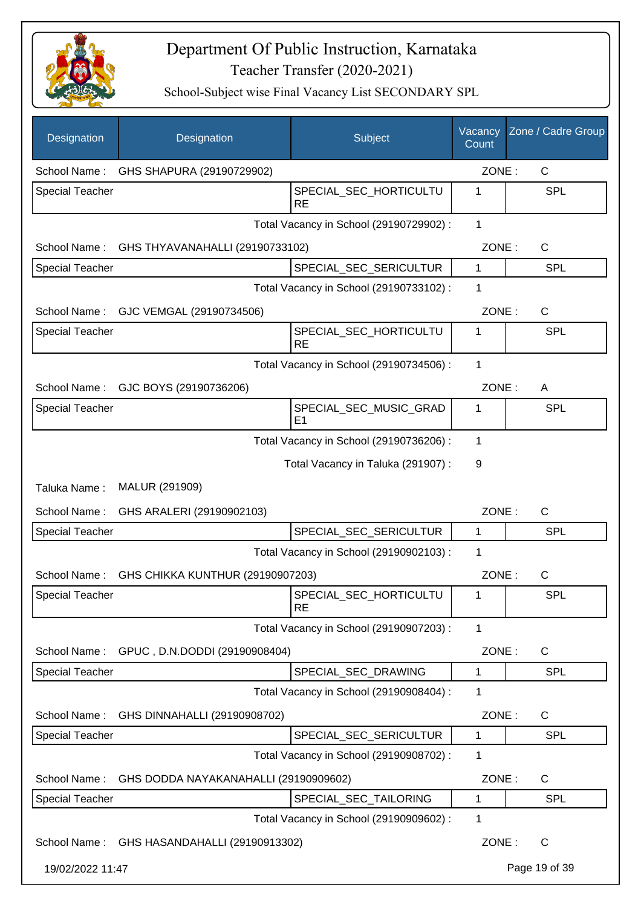

| Designation            | Designation                                 | Subject                                  | Vacancy<br>Count | Zone / Cadre Group |
|------------------------|---------------------------------------------|------------------------------------------|------------------|--------------------|
| School Name:           | GHS SHAPURA (29190729902)                   |                                          | ZONE:            | C                  |
| <b>Special Teacher</b> |                                             | SPECIAL_SEC_HORTICULTU<br><b>RE</b>      | 1                | <b>SPL</b>         |
|                        |                                             | Total Vacancy in School (29190729902) :  | 1                |                    |
| School Name:           | GHS THYAVANAHALLI (29190733102)             |                                          | ZONE:            | C                  |
| <b>Special Teacher</b> |                                             | SPECIAL_SEC_SERICULTUR                   | 1                | SPL                |
|                        |                                             | Total Vacancy in School (29190733102) :  | 1                |                    |
| School Name:           | GJC VEMGAL (29190734506)                    |                                          | ZONE:            | C                  |
| <b>Special Teacher</b> |                                             | SPECIAL_SEC_HORTICULTU<br><b>RE</b>      | 1                | SPL                |
|                        |                                             | Total Vacancy in School (29190734506) :  | 1                |                    |
| School Name:           | GJC BOYS (29190736206)                      |                                          | ZONE:            | A                  |
| <b>Special Teacher</b> |                                             | SPECIAL SEC MUSIC GRAD<br>E <sub>1</sub> | 1                | <b>SPL</b>         |
|                        |                                             | Total Vacancy in School (29190736206) :  | 1                |                    |
|                        |                                             | Total Vacancy in Taluka (291907) :       | 9                |                    |
| Taluka Name:           | MALUR (291909)                              |                                          |                  |                    |
| School Name:           | GHS ARALERI (29190902103)                   |                                          | ZONE:            | C                  |
| <b>Special Teacher</b> |                                             | SPECIAL_SEC_SERICULTUR                   | 1                | <b>SPL</b>         |
|                        |                                             | Total Vacancy in School (29190902103) :  | 1                |                    |
| School Name:           | GHS CHIKKA KUNTHUR (29190907203)            |                                          | ZONE:            | C                  |
| Special Teacher        |                                             | SPECIAL_SEC_HORTICULTU<br><b>RE</b>      | 1                | SPL                |
|                        |                                             | Total Vacancy in School (29190907203) :  | 1                |                    |
| School Name:           | GPUC, D.N.DODDI (29190908404)               |                                          | ZONE:            | C                  |
| <b>Special Teacher</b> |                                             | SPECIAL SEC DRAWING                      | 1                | <b>SPL</b>         |
|                        |                                             | Total Vacancy in School (29190908404) :  | 1                |                    |
| School Name:           | GHS DINNAHALLI (29190908702)                |                                          | ZONE:            | C                  |
| <b>Special Teacher</b> |                                             | SPECIAL_SEC_SERICULTUR                   | 1                | <b>SPL</b>         |
|                        |                                             | Total Vacancy in School (29190908702) :  | 1                |                    |
| School Name:           | GHS DODDA NAYAKANAHALLI (29190909602)       |                                          | ZONE:            | C                  |
| <b>Special Teacher</b> |                                             | SPECIAL_SEC_TAILORING                    | 1                | <b>SPL</b>         |
|                        |                                             | Total Vacancy in School (29190909602) :  | 1                |                    |
|                        | School Name: GHS HASANDAHALLI (29190913302) |                                          | ZONE:            | $\mathsf{C}$       |
| 19/02/2022 11:47       |                                             |                                          |                  | Page 19 of 39      |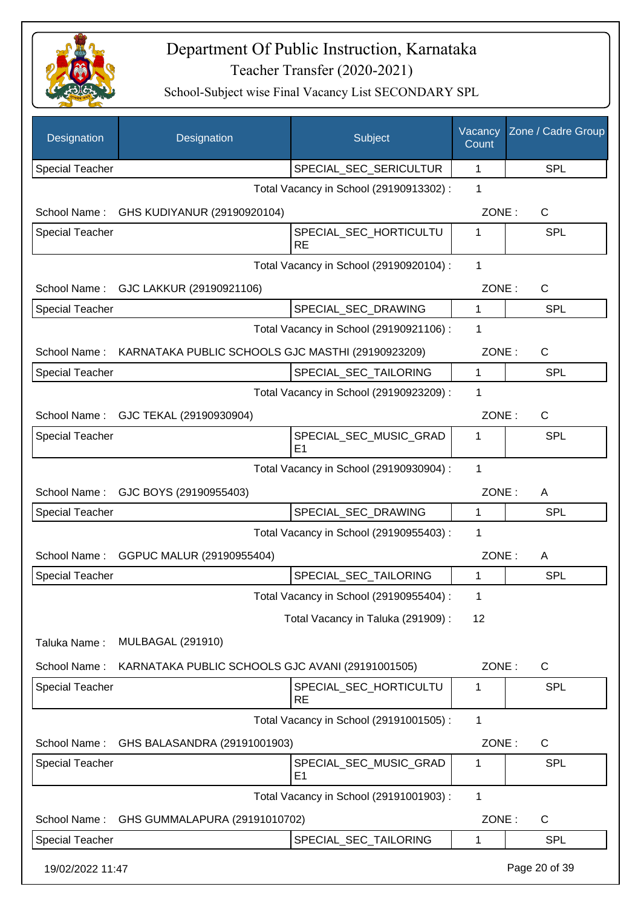

| Designation            | Designation                                       | Subject                                  | Vacancy<br>Count | Zone / Cadre Group |
|------------------------|---------------------------------------------------|------------------------------------------|------------------|--------------------|
| <b>Special Teacher</b> |                                                   | SPECIAL_SEC_SERICULTUR                   | 1                | <b>SPL</b>         |
|                        |                                                   | Total Vacancy in School (29190913302) :  | 1                |                    |
| School Name:           | GHS KUDIYANUR (29190920104)                       |                                          | ZONE:            | C                  |
| <b>Special Teacher</b> |                                                   | SPECIAL_SEC_HORTICULTU<br><b>RE</b>      | 1                | <b>SPL</b>         |
|                        |                                                   | Total Vacancy in School (29190920104) :  | $\mathbf{1}$     |                    |
| School Name:           | GJC LAKKUR (29190921106)                          |                                          | ZONE:            | C                  |
| <b>Special Teacher</b> |                                                   | SPECIAL_SEC_DRAWING                      | 1                | <b>SPL</b>         |
|                        |                                                   | Total Vacancy in School (29190921106) :  | 1                |                    |
| School Name:           | KARNATAKA PUBLIC SCHOOLS GJC MASTHI (29190923209) |                                          | ZONE:            | C                  |
| <b>Special Teacher</b> |                                                   | SPECIAL_SEC_TAILORING                    | 1                | <b>SPL</b>         |
|                        |                                                   | Total Vacancy in School (29190923209) :  | 1                |                    |
| School Name:           | GJC TEKAL (29190930904)                           |                                          | ZONE:            | C                  |
| <b>Special Teacher</b> |                                                   | SPECIAL_SEC_MUSIC_GRAD<br>E1             | 1                | <b>SPL</b>         |
|                        |                                                   | Total Vacancy in School (29190930904) :  | 1                |                    |
| School Name:           | GJC BOYS (29190955403)                            |                                          | ZONE:            | A                  |
| <b>Special Teacher</b> |                                                   | SPECIAL_SEC_DRAWING                      | 1                | <b>SPL</b>         |
|                        |                                                   | Total Vacancy in School (29190955403) :  | 1                |                    |
| School Name:           | GGPUC MALUR (29190955404)                         |                                          | ZONE:            | A                  |
| <b>Special Teacher</b> |                                                   | SPECIAL_SEC_TAILORING                    | 1                | SPL                |
|                        |                                                   | Total Vacancy in School (29190955404) :  | 1                |                    |
|                        |                                                   | Total Vacancy in Taluka (291909) :       | 12               |                    |
| Taluka Name:           | <b>MULBAGAL (291910)</b>                          |                                          |                  |                    |
| School Name:           | KARNATAKA PUBLIC SCHOOLS GJC AVANI (29191001505)  |                                          | ZONE:            | $\mathsf{C}$       |
| Special Teacher        |                                                   | SPECIAL_SEC_HORTICULTU<br><b>RE</b>      | 1                | <b>SPL</b>         |
|                        |                                                   | Total Vacancy in School (29191001505) :  | $\mathbf{1}$     |                    |
| School Name:           | GHS BALASANDRA (29191001903)                      |                                          | ZONE:            | C                  |
| <b>Special Teacher</b> |                                                   | SPECIAL_SEC_MUSIC_GRAD<br>E <sub>1</sub> | 1                | <b>SPL</b>         |
|                        |                                                   | Total Vacancy in School (29191001903) :  | 1                |                    |
| School Name:           | GHS GUMMALAPURA (29191010702)                     |                                          | ZONE:            | C                  |
| <b>Special Teacher</b> |                                                   | SPECIAL_SEC_TAILORING                    | 1                | <b>SPL</b>         |
| 19/02/2022 11:47       |                                                   |                                          |                  | Page 20 of 39      |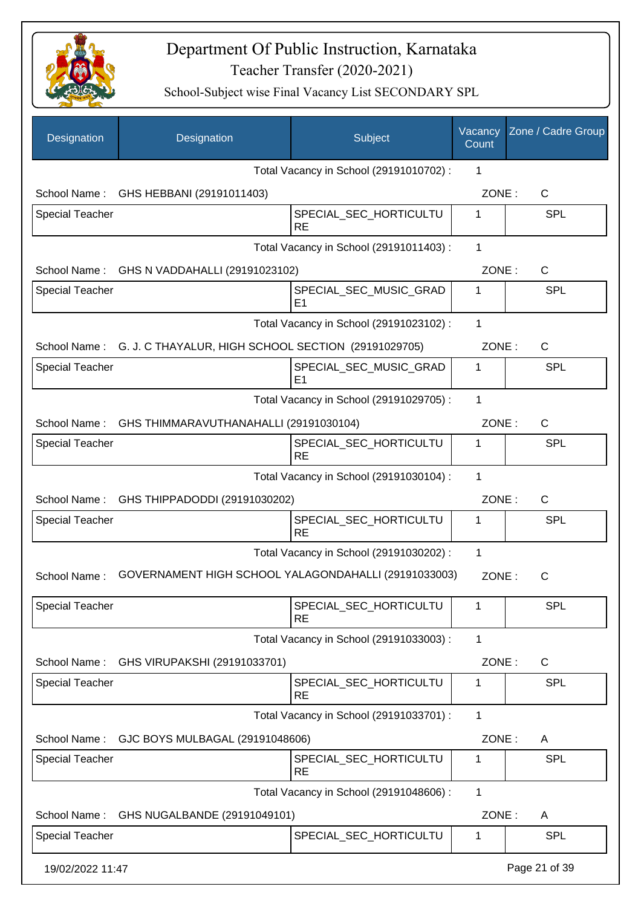

| Designation            | Designation                                                      | Subject                                  | Vacancy<br>Count | Zone / Cadre Group |
|------------------------|------------------------------------------------------------------|------------------------------------------|------------------|--------------------|
|                        |                                                                  | Total Vacancy in School (29191010702) :  | 1                |                    |
|                        | School Name: GHS HEBBANI (29191011403)                           |                                          | ZONE:            | C                  |
| <b>Special Teacher</b> |                                                                  | SPECIAL_SEC_HORTICULTU<br><b>RE</b>      | 1                | <b>SPL</b>         |
|                        |                                                                  | Total Vacancy in School (29191011403) :  | 1                |                    |
|                        | School Name: GHS N VADDAHALLI (29191023102)                      |                                          | ZONE:            | $\mathsf{C}$       |
| <b>Special Teacher</b> |                                                                  | SPECIAL_SEC_MUSIC_GRAD<br>E <sub>1</sub> | 1                | <b>SPL</b>         |
|                        |                                                                  | Total Vacancy in School (29191023102) :  | 1                |                    |
|                        | School Name: G. J. C THAYALUR, HIGH SCHOOL SECTION (29191029705) |                                          | ZONE:            | $\mathsf{C}$       |
| <b>Special Teacher</b> |                                                                  | SPECIAL_SEC_MUSIC_GRAD<br>E <sub>1</sub> | 1                | <b>SPL</b>         |
|                        |                                                                  | Total Vacancy in School (29191029705) :  | 1                |                    |
|                        | School Name: GHS THIMMARAVUTHANAHALLI (29191030104)              |                                          | ZONE:            | $\mathsf{C}$       |
| <b>Special Teacher</b> |                                                                  | SPECIAL_SEC_HORTICULTU<br><b>RE</b>      | 1                | <b>SPL</b>         |
|                        |                                                                  | Total Vacancy in School (29191030104) :  | 1                |                    |
|                        | School Name: GHS THIPPADODDI (29191030202)                       |                                          | ZONE:            | C                  |
| <b>Special Teacher</b> |                                                                  | SPECIAL_SEC_HORTICULTU<br><b>RE</b>      | 1                | <b>SPL</b>         |
|                        |                                                                  | Total Vacancy in School (29191030202) :  | 1                |                    |
| School Name:           | GOVERNAMENT HIGH SCHOOL YALAGONDAHALLI (29191033003)             |                                          | ZONE:            | С                  |
| <b>Special Teacher</b> |                                                                  | SPECIAL_SEC_HORTICULTU<br><b>RE</b>      | 1                | <b>SPL</b>         |
|                        |                                                                  | Total Vacancy in School (29191033003) :  | 1                |                    |
| School Name:           | GHS VIRUPAKSHI (29191033701)                                     |                                          | ZONE:            | C                  |
| <b>Special Teacher</b> |                                                                  | SPECIAL_SEC_HORTICULTU<br><b>RE</b>      | 1                | <b>SPL</b>         |
|                        |                                                                  | Total Vacancy in School (29191033701) :  | 1                |                    |
|                        | School Name: GJC BOYS MULBAGAL (29191048606)                     |                                          | ZONE:            | A                  |
| <b>Special Teacher</b> |                                                                  | SPECIAL_SEC_HORTICULTU<br><b>RE</b>      | $\mathbf 1$      | <b>SPL</b>         |
|                        |                                                                  | Total Vacancy in School (29191048606) :  | 1                |                    |
| School Name:           | GHS NUGALBANDE (29191049101)                                     |                                          | ZONE:            | A                  |
| <b>Special Teacher</b> |                                                                  | SPECIAL_SEC_HORTICULTU                   | 1                | <b>SPL</b>         |
| 19/02/2022 11:47       |                                                                  |                                          |                  | Page 21 of 39      |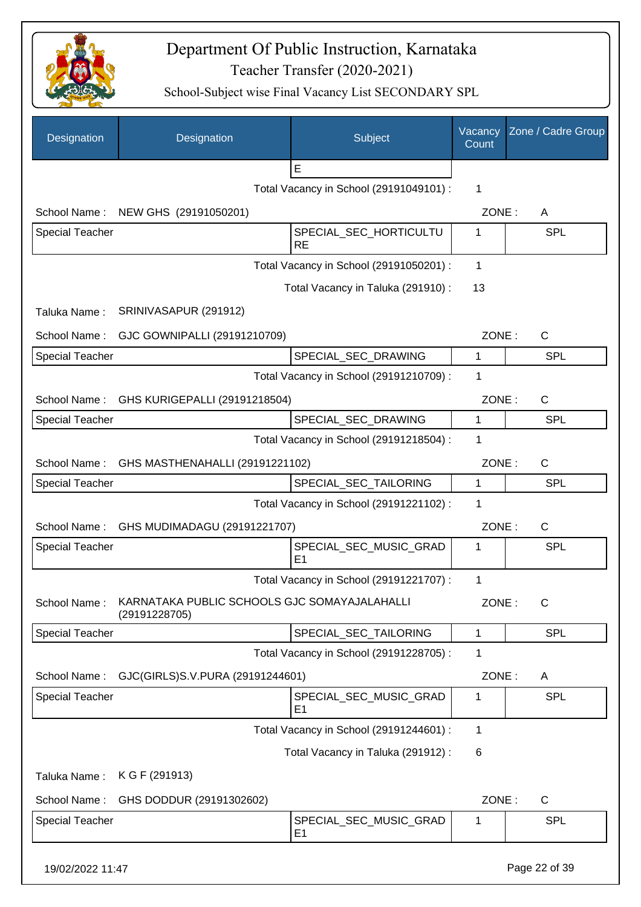

| Designation            | Designation                                                   | Subject                                  | Vacancy<br>Count | Zone / Cadre Group |
|------------------------|---------------------------------------------------------------|------------------------------------------|------------------|--------------------|
|                        |                                                               | E                                        |                  |                    |
|                        |                                                               | Total Vacancy in School (29191049101) :  | 1                |                    |
| School Name:           | NEW GHS (29191050201)                                         |                                          | ZONE:            | A                  |
| <b>Special Teacher</b> |                                                               | SPECIAL_SEC_HORTICULTU<br><b>RE</b>      | 1                | <b>SPL</b>         |
|                        |                                                               | Total Vacancy in School (29191050201) :  | 1                |                    |
|                        |                                                               | Total Vacancy in Taluka (291910) :       | 13               |                    |
| Taluka Name:           | SRINIVASAPUR (291912)                                         |                                          |                  |                    |
| School Name:           | GJC GOWNIPALLI (29191210709)                                  |                                          | ZONE:            | $\mathsf{C}$       |
| <b>Special Teacher</b> |                                                               | SPECIAL_SEC_DRAWING                      | 1                | <b>SPL</b>         |
|                        |                                                               | Total Vacancy in School (29191210709) :  | 1                |                    |
|                        | School Name: GHS KURIGEPALLI (29191218504)                    |                                          | ZONE:            | $\mathsf{C}$       |
| <b>Special Teacher</b> |                                                               | SPECIAL SEC DRAWING                      | 1                | <b>SPL</b>         |
|                        |                                                               | Total Vacancy in School (29191218504) :  | 1                |                    |
|                        | School Name: GHS MASTHENAHALLI (29191221102)                  |                                          | ZONE:            | $\mathsf{C}$       |
| <b>Special Teacher</b> |                                                               | SPECIAL_SEC_TAILORING                    | $\mathbf{1}$     | <b>SPL</b>         |
|                        |                                                               | Total Vacancy in School (29191221102) :  | 1                |                    |
| School Name:           | GHS MUDIMADAGU (29191221707)                                  |                                          | ZONE:            | $\mathsf{C}$       |
| <b>Special Teacher</b> |                                                               | SPECIAL_SEC_MUSIC_GRAD                   | 1                | SPL                |
|                        |                                                               | E <sub>1</sub>                           |                  |                    |
| School Name:           | KARNATAKA PUBLIC SCHOOLS GJC SOMAYAJALAHALLI<br>(29191228705) | Total Vacancy in School (29191221707) :  | 1<br>ZONE:       | C                  |
| <b>Special Teacher</b> |                                                               | SPECIAL_SEC_TAILORING                    | 1                | <b>SPL</b>         |
|                        |                                                               | Total Vacancy in School (29191228705) :  | 1                |                    |
| School Name:           | GJC(GIRLS)S.V.PURA (29191244601)                              |                                          | ZONE:            | Α                  |
| <b>Special Teacher</b> |                                                               | SPECIAL_SEC_MUSIC_GRAD<br>E <sub>1</sub> | 1                | <b>SPL</b>         |
|                        |                                                               | Total Vacancy in School (29191244601) :  | 1                |                    |
|                        |                                                               | Total Vacancy in Taluka (291912) :       | 6                |                    |
| Taluka Name:           | K G F (291913)                                                |                                          |                  |                    |
| School Name:           | GHS DODDUR (29191302602)                                      |                                          | ZONE:            | C                  |
| <b>Special Teacher</b> |                                                               | SPECIAL_SEC_MUSIC_GRAD<br>E <sub>1</sub> | 1                | <b>SPL</b>         |
| 19/02/2022 11:47       |                                                               |                                          |                  | Page 22 of 39      |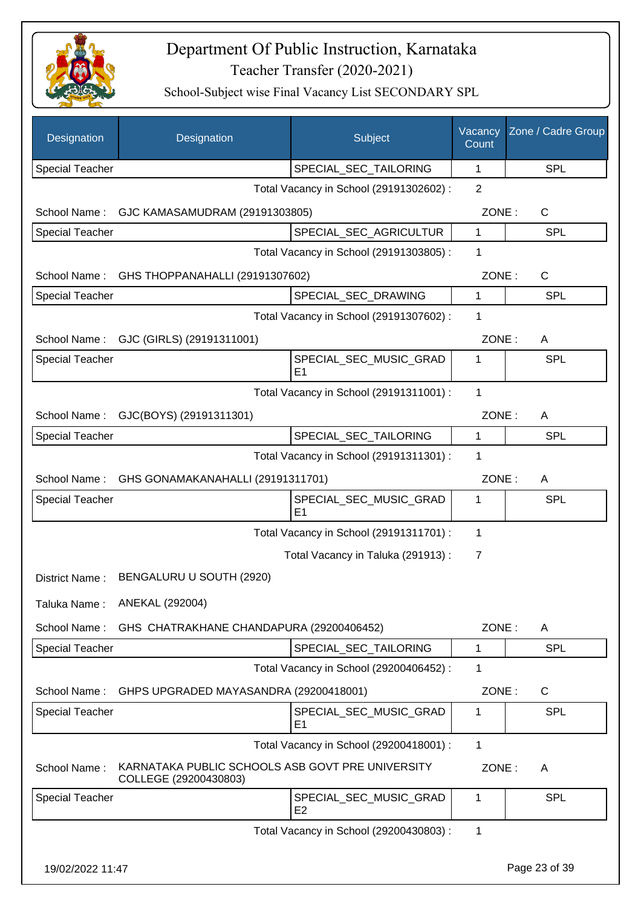

| Designation            | Designation                                                               | Subject                                  | Vacancy<br>Count | Zone / Cadre Group |
|------------------------|---------------------------------------------------------------------------|------------------------------------------|------------------|--------------------|
| <b>Special Teacher</b> |                                                                           | SPECIAL_SEC_TAILORING                    | 1                | <b>SPL</b>         |
|                        |                                                                           | Total Vacancy in School (29191302602) :  | 2                |                    |
| School Name:           | GJC KAMASAMUDRAM (29191303805)                                            |                                          | ZONE:            | C                  |
| <b>Special Teacher</b> |                                                                           | SPECIAL_SEC_AGRICULTUR                   | $\mathbf{1}$     | <b>SPL</b>         |
|                        |                                                                           | Total Vacancy in School (29191303805) :  | 1                |                    |
| School Name:           | GHS THOPPANAHALLI (29191307602)                                           |                                          | ZONE:            | $\mathsf{C}$       |
| <b>Special Teacher</b> |                                                                           | SPECIAL_SEC_DRAWING                      | 1                | <b>SPL</b>         |
|                        |                                                                           | Total Vacancy in School (29191307602) :  | 1                |                    |
| School Name:           | GJC (GIRLS) (29191311001)                                                 |                                          | ZONE:            | A                  |
| <b>Special Teacher</b> |                                                                           | SPECIAL SEC MUSIC GRAD<br>E1             | 1                | <b>SPL</b>         |
|                        |                                                                           | Total Vacancy in School (29191311001) :  | 1                |                    |
| School Name:           | GJC(BOYS) (29191311301)                                                   |                                          | ZONE:            | A                  |
| <b>Special Teacher</b> |                                                                           | SPECIAL_SEC_TAILORING                    | 1                | <b>SPL</b>         |
|                        |                                                                           | Total Vacancy in School (29191311301) :  | 1                |                    |
| School Name:           | GHS GONAMAKANAHALLI (29191311701)                                         |                                          | ZONE:            | A                  |
| <b>Special Teacher</b> |                                                                           | SPECIAL_SEC_MUSIC_GRAD<br>E <sub>1</sub> | 1                | <b>SPL</b>         |
|                        |                                                                           | Total Vacancy in School (29191311701) :  | 1                |                    |
|                        |                                                                           | Total Vacancy in Taluka (291913):        | $\overline{7}$   |                    |
| District Name:         | BENGALURU U SOUTH (2920)                                                  |                                          |                  |                    |
| Taluka Name:           | ANEKAL (292004)                                                           |                                          |                  |                    |
| School Name:           | GHS CHATRAKHANE CHANDAPURA (29200406452)                                  |                                          | ZONE:            | A                  |
| <b>Special Teacher</b> |                                                                           | SPECIAL_SEC_TAILORING                    | 1                | <b>SPL</b>         |
|                        |                                                                           | Total Vacancy in School (29200406452) :  | 1                |                    |
| School Name:           | GHPS UPGRADED MAYASANDRA (29200418001)                                    |                                          | ZONE:            | C                  |
| Special Teacher        |                                                                           | SPECIAL_SEC_MUSIC_GRAD<br>E1             | 1                | SPL                |
|                        |                                                                           | Total Vacancy in School (29200418001) :  | 1                |                    |
| School Name:           | KARNATAKA PUBLIC SCHOOLS ASB GOVT PRE UNIVERSITY<br>COLLEGE (29200430803) |                                          | ZONE:            | A                  |
| <b>Special Teacher</b> |                                                                           | SPECIAL_SEC_MUSIC_GRAD<br>E <sub>2</sub> | 1                | <b>SPL</b>         |
|                        |                                                                           | Total Vacancy in School (29200430803) :  | 1                |                    |
| 19/02/2022 11:47       |                                                                           |                                          |                  | Page 23 of 39      |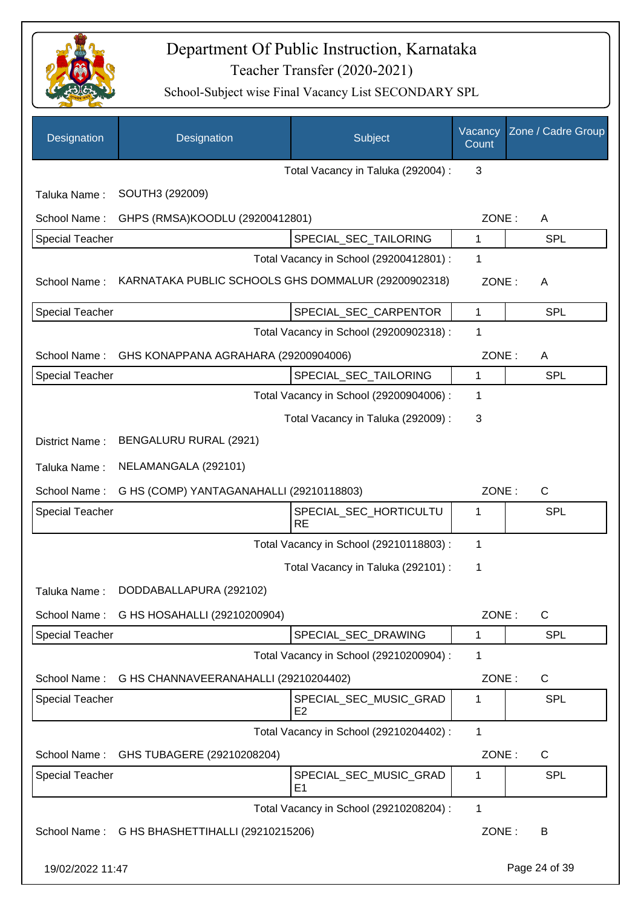

| Designation            | Designation                                         | Subject                                  | Vacancy<br>Count | Zone / Cadre Group |
|------------------------|-----------------------------------------------------|------------------------------------------|------------------|--------------------|
|                        |                                                     | Total Vacancy in Taluka (292004) :       | 3                |                    |
| Taluka Name:           | SOUTH3 (292009)                                     |                                          |                  |                    |
| School Name:           | GHPS (RMSA)KOODLU (29200412801)                     |                                          | ZONE:            | A                  |
| <b>Special Teacher</b> |                                                     | SPECIAL_SEC_TAILORING                    | 1                | SPL                |
|                        |                                                     | Total Vacancy in School (29200412801) :  | 1                |                    |
| School Name:           | KARNATAKA PUBLIC SCHOOLS GHS DOMMALUR (29200902318) |                                          | ZONE:            | A                  |
| Special Teacher        |                                                     | SPECIAL_SEC_CARPENTOR                    | 1                | <b>SPL</b>         |
|                        |                                                     | Total Vacancy in School (29200902318) :  | 1                |                    |
| School Name:           | GHS KONAPPANA AGRAHARA (29200904006)                |                                          | ZONE:            | A                  |
| <b>Special Teacher</b> |                                                     | SPECIAL_SEC_TAILORING                    | 1                | SPL                |
|                        |                                                     | Total Vacancy in School (29200904006) :  | 1                |                    |
|                        |                                                     | Total Vacancy in Taluka (292009):        | 3                |                    |
| District Name:         | BENGALURU RURAL (2921)                              |                                          |                  |                    |
| Taluka Name:           | NELAMANGALA (292101)                                |                                          |                  |                    |
| School Name:           | G HS (COMP) YANTAGANAHALLI (29210118803)            |                                          | ZONE:            | C                  |
| <b>Special Teacher</b> |                                                     | SPECIAL_SEC_HORTICULTU<br><b>RE</b>      | 1                | SPL                |
|                        |                                                     | Total Vacancy in School (29210118803) :  | 1                |                    |
|                        |                                                     | Total Vacancy in Taluka (292101) :       | 1                |                    |
| Taluka Name:           | DODDABALLAPURA (292102)                             |                                          |                  |                    |
| School Name:           | G HS HOSAHALLI (29210200904)                        |                                          | ZONE:            | C                  |
| Special Teacher        |                                                     | SPECIAL SEC DRAWING                      | 1                | <b>SPL</b>         |
|                        |                                                     | Total Vacancy in School (29210200904) :  | 1                |                    |
|                        | School Name: G HS CHANNAVEERANAHALLI (29210204402)  |                                          | ZONE:            | C                  |
| <b>Special Teacher</b> |                                                     | SPECIAL_SEC_MUSIC_GRAD<br>E <sub>2</sub> | 1                | <b>SPL</b>         |
|                        |                                                     | Total Vacancy in School (29210204402) :  | 1                |                    |
| School Name:           | GHS TUBAGERE (29210208204)                          |                                          | ZONE:            | C                  |
| <b>Special Teacher</b> |                                                     | SPECIAL_SEC_MUSIC_GRAD<br>E <sub>1</sub> | 1                | <b>SPL</b>         |
|                        |                                                     | Total Vacancy in School (29210208204) :  | 1                |                    |
|                        | School Name: G HS BHASHETTIHALLI (29210215206)      |                                          | ZONE:            | B                  |
| 19/02/2022 11:47       |                                                     |                                          |                  | Page 24 of 39      |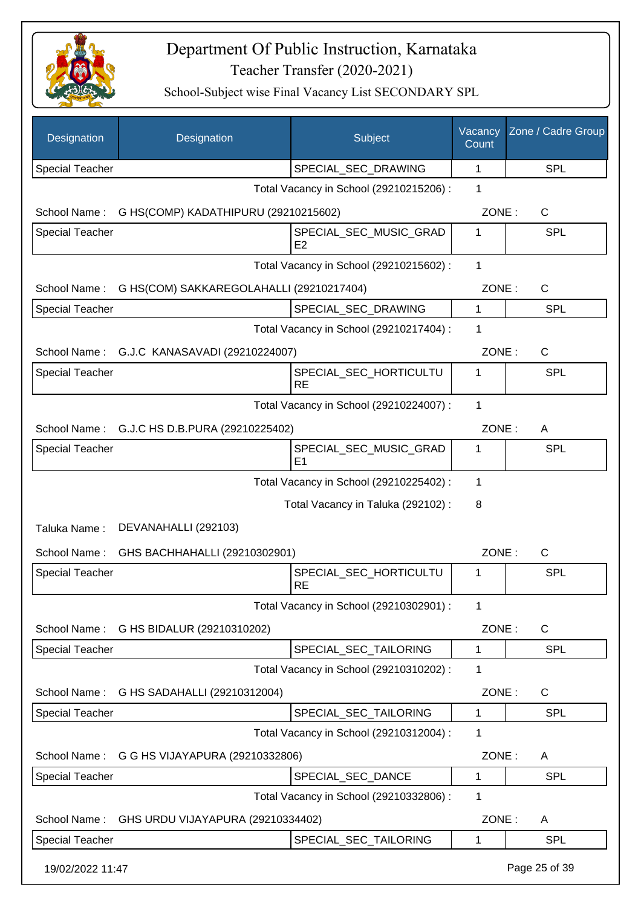

| Designation            | Designation                                  | Subject                                                   | Vacancy<br>Count | Zone / Cadre Group |
|------------------------|----------------------------------------------|-----------------------------------------------------------|------------------|--------------------|
| <b>Special Teacher</b> |                                              | SPECIAL_SEC_DRAWING                                       | 1                | <b>SPL</b>         |
|                        |                                              | Total Vacancy in School (29210215206) :                   | 1                |                    |
| School Name:           | G HS(COMP) KADATHIPURU (29210215602)         |                                                           | ZONE:            | C                  |
| <b>Special Teacher</b> |                                              | SPECIAL_SEC_MUSIC_GRAD                                    | 1                | <b>SPL</b>         |
|                        |                                              | E <sub>2</sub><br>Total Vacancy in School (29210215602) : | $\mathbf{1}$     |                    |
| School Name:           | G HS(COM) SAKKAREGOLAHALLI (29210217404)     |                                                           | ZONE:            | $\mathsf{C}$       |
| <b>Special Teacher</b> |                                              | SPECIAL_SEC_DRAWING                                       | 1                | <b>SPL</b>         |
|                        |                                              | Total Vacancy in School (29210217404) :                   | 1                |                    |
|                        | School Name: G.J.C KANASAVADI (29210224007)  |                                                           | ZONE:            | $\mathsf{C}$       |
| Special Teacher        |                                              | SPECIAL_SEC_HORTICULTU<br><b>RE</b>                       | 1                | <b>SPL</b>         |
|                        |                                              | Total Vacancy in School (29210224007) :                   | 1                |                    |
|                        | School Name: G.J.C HS D.B.PURA (29210225402) |                                                           | ZONE:            | A                  |
| <b>Special Teacher</b> |                                              | SPECIAL_SEC_MUSIC_GRAD<br>E <sub>1</sub>                  | 1                | <b>SPL</b>         |
|                        |                                              | Total Vacancy in School (29210225402) :                   | 1                |                    |
|                        |                                              | Total Vacancy in Taluka (292102):                         | 8                |                    |
| Taluka Name:           | DEVANAHALLI (292103)                         |                                                           |                  |                    |
| School Name:           | GHS BACHHAHALLI (29210302901)                |                                                           | ZONE:            | $\mathsf{C}$       |
| <b>Special Teacher</b> |                                              | SPECIAL_SEC_HORTICULTU<br><b>RE</b>                       | 1                | <b>SPL</b>         |
|                        |                                              | Total Vacancy in School (29210302901) :                   | 1                |                    |
| School Name:           | G HS BIDALUR (29210310202)                   |                                                           | ZONE:            | C                  |
| <b>Special Teacher</b> |                                              | SPECIAL_SEC_TAILORING                                     | 1                | <b>SPL</b>         |
|                        |                                              | Total Vacancy in School (29210310202) :                   | 1                |                    |
| School Name:           | G HS SADAHALLI (29210312004)                 |                                                           | ZONE:            | C                  |
| <b>Special Teacher</b> |                                              | SPECIAL SEC TAILORING                                     | 1                | <b>SPL</b>         |
|                        |                                              | Total Vacancy in School (29210312004) :                   | 1                |                    |
| School Name:           | G G HS VIJAYAPURA (29210332806)              |                                                           | ZONE:            | A                  |
| <b>Special Teacher</b> |                                              | SPECIAL_SEC_DANCE                                         | 1                | <b>SPL</b>         |
|                        |                                              | Total Vacancy in School (29210332806) :                   | 1                |                    |
| School Name:           | GHS URDU VIJAYAPURA (29210334402)            |                                                           | ZONE:            | A                  |
| <b>Special Teacher</b> |                                              | SPECIAL_SEC_TAILORING                                     | 1                | <b>SPL</b>         |
| 19/02/2022 11:47       |                                              |                                                           |                  | Page 25 of 39      |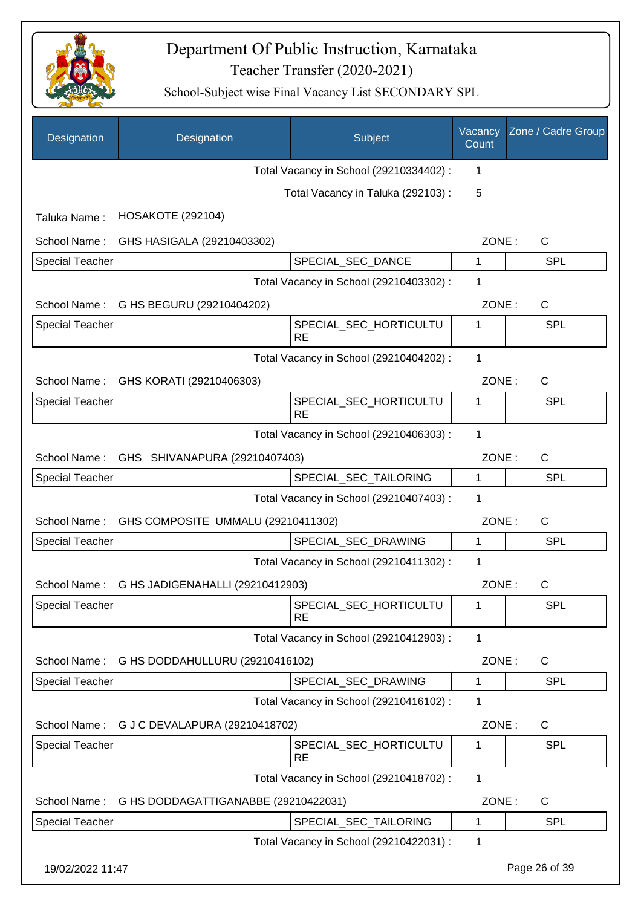

| Designation            | Designation                          | Subject                                 | Vacancy<br>Count | Zone / Cadre Group |
|------------------------|--------------------------------------|-----------------------------------------|------------------|--------------------|
|                        |                                      | Total Vacancy in School (29210334402) : | 1                |                    |
|                        |                                      | Total Vacancy in Taluka (292103):       | 5                |                    |
| Taluka Name:           | <b>HOSAKOTE (292104)</b>             |                                         |                  |                    |
| School Name:           | GHS HASIGALA (29210403302)           |                                         | ZONE:            | $\mathsf{C}$       |
| <b>Special Teacher</b> |                                      | SPECIAL_SEC_DANCE                       | 1                | <b>SPL</b>         |
|                        |                                      | Total Vacancy in School (29210403302) : | 1                |                    |
| School Name:           | G HS BEGURU (29210404202)            |                                         | ZONE:            | C                  |
| <b>Special Teacher</b> |                                      | SPECIAL_SEC_HORTICULTU<br><b>RE</b>     | 1                | <b>SPL</b>         |
|                        |                                      | Total Vacancy in School (29210404202) : | $\mathbf{1}$     |                    |
| School Name:           | GHS KORATI (29210406303)             |                                         | ZONE:            | C                  |
| <b>Special Teacher</b> |                                      | SPECIAL_SEC_HORTICULTU<br><b>RE</b>     | 1                | <b>SPL</b>         |
|                        |                                      | Total Vacancy in School (29210406303) : | $\mathbf{1}$     |                    |
| School Name:           | GHS SHIVANAPURA (29210407403)        |                                         | ZONE:            | C                  |
| <b>Special Teacher</b> |                                      | SPECIAL_SEC_TAILORING                   | 1                | <b>SPL</b>         |
|                        |                                      | Total Vacancy in School (29210407403) : | 1                |                    |
| School Name:           | GHS COMPOSITE UMMALU (29210411302)   |                                         | ZONE:            | $\mathsf{C}$       |
| <b>Special Teacher</b> |                                      | SPECIAL_SEC_DRAWING                     | 1                | <b>SPL</b>         |
|                        |                                      | Total Vacancy in School (29210411302) : | 1                |                    |
| School Name:           | G HS JADIGENAHALLI (29210412903)     |                                         | ZONE:            | С                  |
| <b>Special Teacher</b> |                                      | SPECIAL_SEC_HORTICULTU<br><b>RE</b>     | 1                | SPL                |
|                        |                                      | Total Vacancy in School (29210412903) : | 1                |                    |
| School Name:           | G HS DODDAHULLURU (29210416102)      |                                         | ZONE:            | C                  |
| <b>Special Teacher</b> |                                      | SPECIAL SEC DRAWING                     | 1                | <b>SPL</b>         |
|                        |                                      | Total Vacancy in School (29210416102) : | 1                |                    |
| School Name:           | G J C DEVALAPURA (29210418702)       |                                         | ZONE:            | C                  |
| <b>Special Teacher</b> |                                      | SPECIAL_SEC_HORTICULTU<br><b>RE</b>     | 1                | <b>SPL</b>         |
|                        |                                      | Total Vacancy in School (29210418702) : | 1                |                    |
| School Name:           | G HS DODDAGATTIGANABBE (29210422031) |                                         | ZONE:            | C                  |
| <b>Special Teacher</b> |                                      | SPECIAL_SEC_TAILORING                   | 1                | <b>SPL</b>         |
|                        |                                      | Total Vacancy in School (29210422031) : | 1                |                    |
| 19/02/2022 11:47       |                                      |                                         |                  | Page 26 of 39      |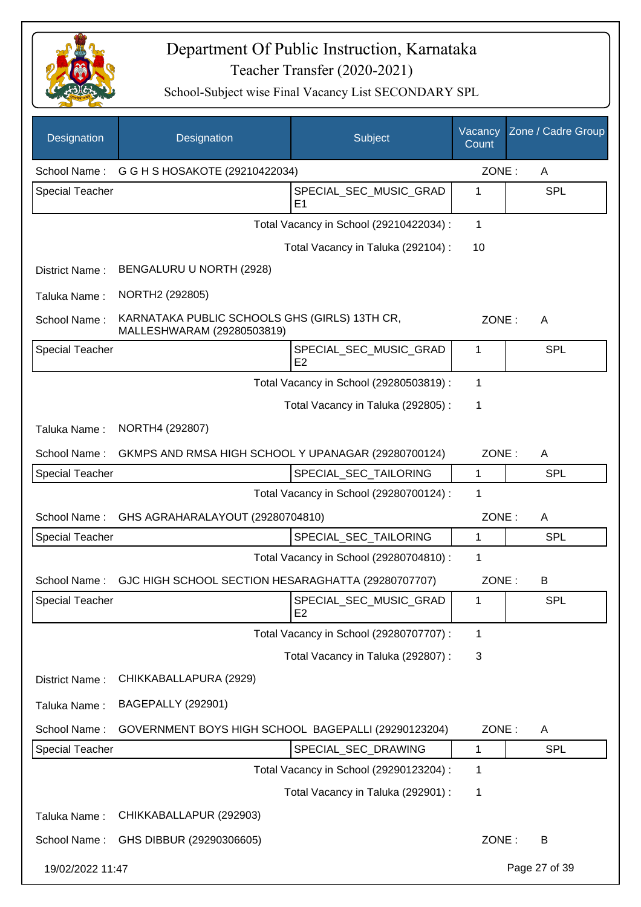

| Designation            | Designation                                                                 | Subject                                  | Vacancy<br>Count | Zone / Cadre Group |
|------------------------|-----------------------------------------------------------------------------|------------------------------------------|------------------|--------------------|
| School Name:           | G G H S HOSAKOTE (29210422034)                                              |                                          | ZONE:            | A                  |
| <b>Special Teacher</b> |                                                                             | SPECIAL_SEC_MUSIC_GRAD<br>E <sub>1</sub> | 1                | <b>SPL</b>         |
|                        |                                                                             | Total Vacancy in School (29210422034) :  | 1                |                    |
|                        |                                                                             | Total Vacancy in Taluka (292104) :       | 10               |                    |
| District Name:         | BENGALURU U NORTH (2928)                                                    |                                          |                  |                    |
| Taluka Name:           | NORTH2 (292805)                                                             |                                          |                  |                    |
| School Name:           | KARNATAKA PUBLIC SCHOOLS GHS (GIRLS) 13TH CR,<br>MALLESHWARAM (29280503819) |                                          | ZONE:            | A                  |
| <b>Special Teacher</b> |                                                                             | SPECIAL SEC MUSIC GRAD<br>E <sub>2</sub> | 1                | <b>SPL</b>         |
|                        |                                                                             | Total Vacancy in School (29280503819) :  | 1                |                    |
|                        |                                                                             | Total Vacancy in Taluka (292805) :       | 1                |                    |
| Taluka Name:           | NORTH4 (292807)                                                             |                                          |                  |                    |
| School Name:           | GKMPS AND RMSA HIGH SCHOOL Y UPANAGAR (29280700124)                         |                                          | ZONE:            | A                  |
| <b>Special Teacher</b> |                                                                             | SPECIAL_SEC_TAILORING                    | 1                | <b>SPL</b>         |
|                        |                                                                             | Total Vacancy in School (29280700124) :  | 1                |                    |
| School Name:           | GHS AGRAHARALAYOUT (29280704810)                                            |                                          | ZONE:            | A                  |
| <b>Special Teacher</b> |                                                                             | SPECIAL SEC TAILORING                    | 1                | <b>SPL</b>         |
|                        |                                                                             | Total Vacancy in School (29280704810) :  | 1                |                    |
| School Name:           | GJC HIGH SCHOOL SECTION HESARAGHATTA (29280707707)                          |                                          | ZONE:            | B                  |
| <b>Special Teacher</b> |                                                                             | SPECIAL_SEC_MUSIC_GRAD<br>E2             | 1                | <b>SPL</b>         |
|                        |                                                                             | Total Vacancy in School (29280707707) :  | 1                |                    |
|                        |                                                                             | Total Vacancy in Taluka (292807) :       | 3                |                    |
| District Name:         | CHIKKABALLAPURA (2929)                                                      |                                          |                  |                    |
| Taluka Name:           | <b>BAGEPALLY (292901)</b>                                                   |                                          |                  |                    |
| School Name:           | GOVERNMENT BOYS HIGH SCHOOL BAGEPALLI (29290123204)                         |                                          | ZONE:            | A                  |
| <b>Special Teacher</b> |                                                                             | SPECIAL_SEC_DRAWING                      | 1                | <b>SPL</b>         |
|                        |                                                                             | Total Vacancy in School (29290123204) :  | 1                |                    |
|                        |                                                                             | Total Vacancy in Taluka (292901) :       | 1                |                    |
| Taluka Name:           | CHIKKABALLAPUR (292903)                                                     |                                          |                  |                    |
| School Name:           | GHS DIBBUR (29290306605)                                                    |                                          | ZONE:            | B                  |
| 19/02/2022 11:47       |                                                                             |                                          |                  | Page 27 of 39      |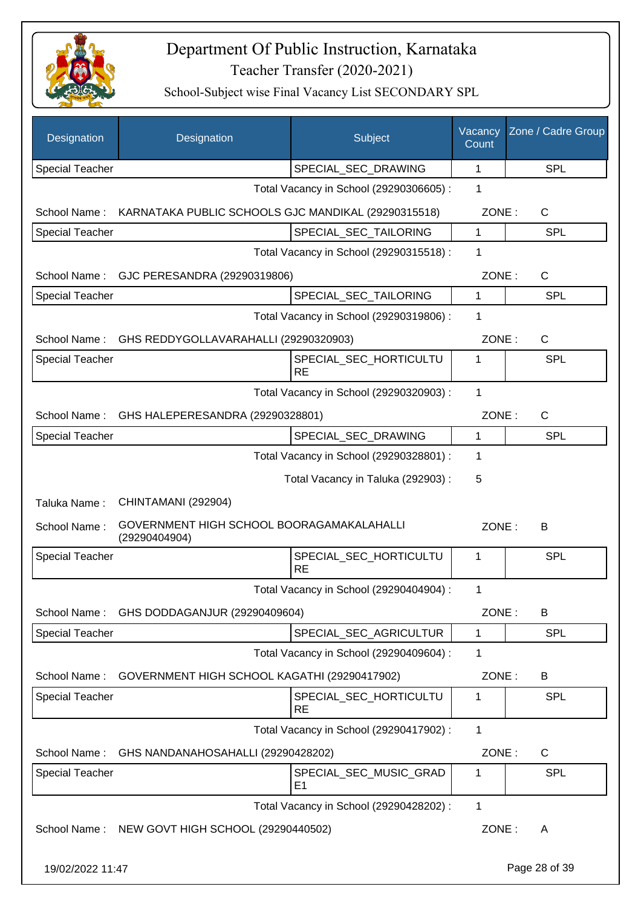

| Designation            | Designation                                                | Subject                                  | Vacancy<br>Count | Zone / Cadre Group |
|------------------------|------------------------------------------------------------|------------------------------------------|------------------|--------------------|
| <b>Special Teacher</b> |                                                            | SPECIAL_SEC_DRAWING                      | 1                | SPL                |
|                        |                                                            | Total Vacancy in School (29290306605) :  | 1                |                    |
| School Name:           | KARNATAKA PUBLIC SCHOOLS GJC MANDIKAL (29290315518)        |                                          | ZONE:            | C                  |
| <b>Special Teacher</b> |                                                            | SPECIAL SEC TAILORING                    | 1                | <b>SPL</b>         |
|                        |                                                            | Total Vacancy in School (29290315518) :  | 1                |                    |
| School Name:           | GJC PERESANDRA (29290319806)                               |                                          | ZONE:            | C                  |
| <b>Special Teacher</b> |                                                            | SPECIAL_SEC_TAILORING                    | 1                | <b>SPL</b>         |
|                        |                                                            | Total Vacancy in School (29290319806) :  | 1                |                    |
| School Name:           | GHS REDDYGOLLAVARAHALLI (29290320903)                      |                                          | ZONE:            | C                  |
| <b>Special Teacher</b> |                                                            | SPECIAL_SEC_HORTICULTU<br><b>RE</b>      | 1                | SPL                |
|                        |                                                            | Total Vacancy in School (29290320903) :  | 1                |                    |
| School Name:           | GHS HALEPERESANDRA (29290328801)                           |                                          | ZONE:            | $\mathsf{C}$       |
| <b>Special Teacher</b> |                                                            | SPECIAL_SEC_DRAWING                      | 1                | <b>SPL</b>         |
|                        |                                                            | Total Vacancy in School (29290328801) :  | 1                |                    |
|                        |                                                            | Total Vacancy in Taluka (292903) :       | 5                |                    |
| Taluka Name:           | CHINTAMANI (292904)                                        |                                          |                  |                    |
| School Name:           | GOVERNMENT HIGH SCHOOL BOORAGAMAKALAHALLI<br>(29290404904) |                                          | ZONE:            | В                  |
| <b>Special Teacher</b> |                                                            | SPECIAL_SEC_HORTICULTU<br><b>RE</b>      | 1                | SPL                |
|                        |                                                            | Total Vacancy in School (29290404904) :  | 1                |                    |
| School Name:           | GHS DODDAGANJUR (29290409604)                              |                                          | ZONE:            | B                  |
| <b>Special Teacher</b> |                                                            | SPECIAL_SEC_AGRICULTUR                   | 1                | <b>SPL</b>         |
|                        |                                                            | Total Vacancy in School (29290409604) :  | 1                |                    |
| School Name:           | GOVERNMENT HIGH SCHOOL KAGATHI (29290417902)               |                                          | ZONE:            | B                  |
| Special Teacher        |                                                            | SPECIAL_SEC_HORTICULTU<br><b>RE</b>      | 1                | <b>SPL</b>         |
|                        |                                                            | Total Vacancy in School (29290417902) :  | 1                |                    |
| School Name:           | GHS NANDANAHOSAHALLI (29290428202)                         |                                          | ZONE:            | C                  |
| Special Teacher        |                                                            | SPECIAL_SEC_MUSIC_GRAD<br>E <sub>1</sub> | 1                | <b>SPL</b>         |
|                        |                                                            | Total Vacancy in School (29290428202) :  | 1                |                    |
|                        | School Name: NEW GOVT HIGH SCHOOL (29290440502)            |                                          | ZONE:            | A                  |
| 19/02/2022 11:47       |                                                            |                                          |                  | Page 28 of 39      |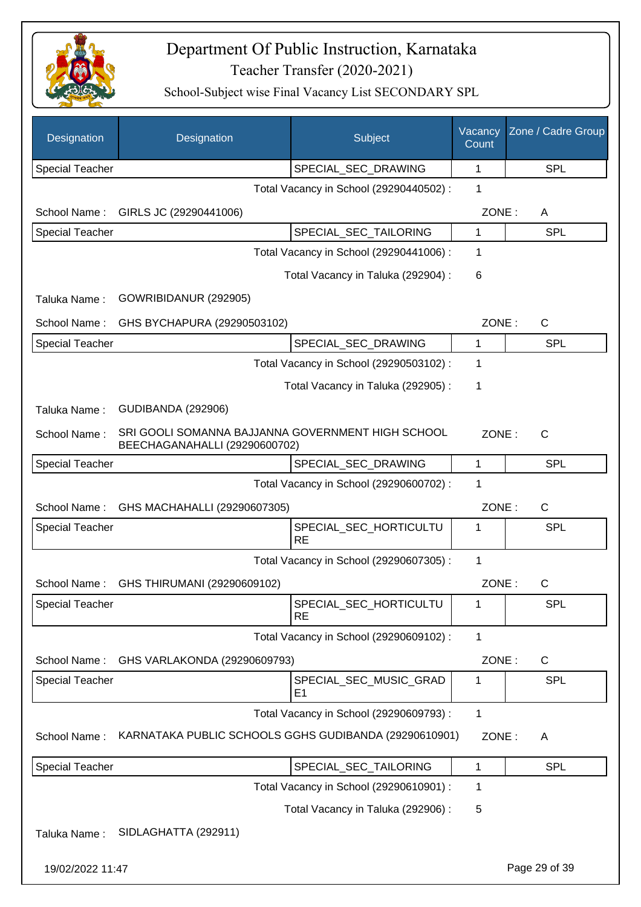

| Designation            | Designation                                                                        | Subject                                  | Vacancy<br>Count | Zone / Cadre Group |
|------------------------|------------------------------------------------------------------------------------|------------------------------------------|------------------|--------------------|
| <b>Special Teacher</b> |                                                                                    | SPECIAL_SEC_DRAWING                      | 1                | <b>SPL</b>         |
|                        |                                                                                    | Total Vacancy in School (29290440502) :  | $\mathbf 1$      |                    |
| School Name:           | GIRLS JC (29290441006)                                                             |                                          | ZONE:            | A                  |
| <b>Special Teacher</b> |                                                                                    | SPECIAL_SEC_TAILORING                    | 1                | <b>SPL</b>         |
|                        |                                                                                    | Total Vacancy in School (29290441006) :  | 1                |                    |
|                        |                                                                                    | Total Vacancy in Taluka (292904) :       | 6                |                    |
| Taluka Name:           | GOWRIBIDANUR (292905)                                                              |                                          |                  |                    |
| School Name:           | GHS BYCHAPURA (29290503102)                                                        |                                          | ZONE:            | $\mathsf{C}$       |
| <b>Special Teacher</b> |                                                                                    | SPECIAL_SEC_DRAWING                      | $\mathbf{1}$     | <b>SPL</b>         |
|                        |                                                                                    | Total Vacancy in School (29290503102) :  | 1                |                    |
|                        |                                                                                    | Total Vacancy in Taluka (292905):        | 1                |                    |
| Taluka Name:           | <b>GUDIBANDA (292906)</b>                                                          |                                          |                  |                    |
| School Name:           | SRI GOOLI SOMANNA BAJJANNA GOVERNMENT HIGH SCHOOL<br>BEECHAGANAHALLI (29290600702) |                                          | ZONE:            | $\mathsf{C}$       |
| <b>Special Teacher</b> |                                                                                    | SPECIAL_SEC_DRAWING                      | 1                | <b>SPL</b>         |
|                        |                                                                                    | Total Vacancy in School (29290600702) :  | 1                |                    |
| School Name:           | GHS MACHAHALLI (29290607305)                                                       |                                          | ZONE:            | $\mathsf{C}$       |
| <b>Special Teacher</b> |                                                                                    | SPECIAL_SEC_HORTICULTU<br><b>RE</b>      | 1                | <b>SPL</b>         |
|                        |                                                                                    | Total Vacancy in School (29290607305) :  | 1                |                    |
| School Name:           | GHS THIRUMANI (29290609102)                                                        |                                          | ZONE:            | С                  |
| <b>Special Teacher</b> |                                                                                    | SPECIAL_SEC_HORTICULTU<br><b>RE</b>      | 1                | <b>SPL</b>         |
|                        |                                                                                    | Total Vacancy in School (29290609102) :  | 1                |                    |
| School Name:           | GHS VARLAKONDA (29290609793)                                                       |                                          | ZONE:            | C                  |
| <b>Special Teacher</b> |                                                                                    | SPECIAL_SEC_MUSIC_GRAD<br>E <sub>1</sub> | 1                | <b>SPL</b>         |
|                        |                                                                                    | Total Vacancy in School (29290609793) :  | 1                |                    |
| School Name:           | KARNATAKA PUBLIC SCHOOLS GGHS GUDIBANDA (29290610901)                              |                                          | ZONE:            | A                  |
| <b>Special Teacher</b> |                                                                                    | SPECIAL_SEC_TAILORING                    | 1                | <b>SPL</b>         |
|                        |                                                                                    | Total Vacancy in School (29290610901) :  | 1                |                    |
|                        |                                                                                    | Total Vacancy in Taluka (292906) :       | 5                |                    |
| Taluka Name:           | SIDLAGHATTA (292911)                                                               |                                          |                  |                    |
| 19/02/2022 11:47       |                                                                                    |                                          |                  | Page 29 of 39      |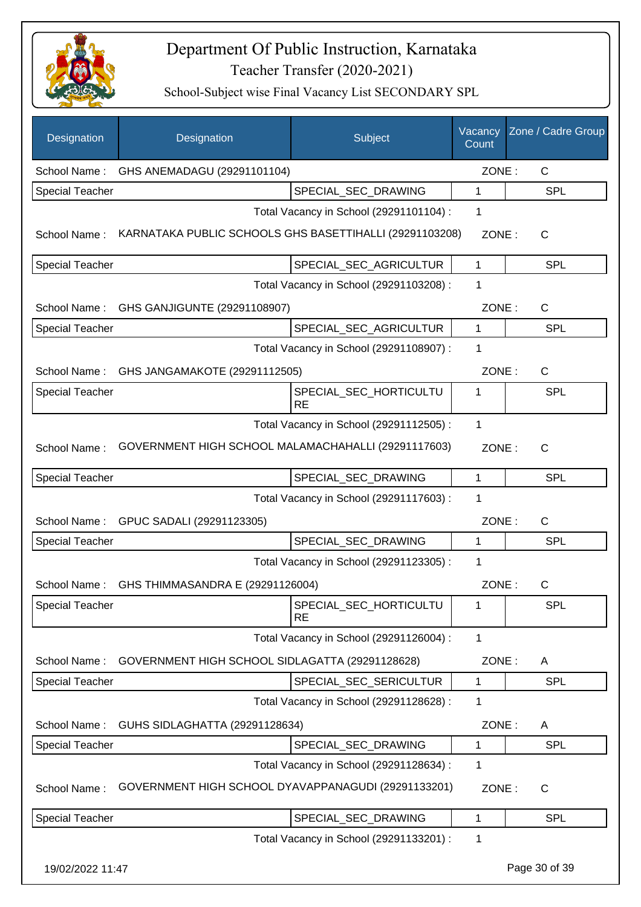

| Designation            | Designation                                             | Subject                                 | Vacancy<br>Count | Zone / Cadre Group |
|------------------------|---------------------------------------------------------|-----------------------------------------|------------------|--------------------|
| School Name:           | GHS ANEMADAGU (29291101104)                             |                                         | ZONE:            | $\mathsf{C}$       |
| <b>Special Teacher</b> |                                                         | SPECIAL SEC DRAWING                     | 1                | <b>SPL</b>         |
|                        |                                                         | Total Vacancy in School (29291101104) : | 1                |                    |
| School Name:           | KARNATAKA PUBLIC SCHOOLS GHS BASETTIHALLI (29291103208) |                                         | ZONE:            | $\mathsf{C}$       |
| Special Teacher        |                                                         | SPECIAL_SEC_AGRICULTUR                  | 1                | <b>SPL</b>         |
|                        |                                                         | Total Vacancy in School (29291103208) : | 1                |                    |
| School Name:           | GHS GANJIGUNTE (29291108907)                            |                                         | ZONE:            | $\mathsf{C}$       |
| Special Teacher        |                                                         | SPECIAL_SEC_AGRICULTUR                  | 1                | <b>SPL</b>         |
|                        |                                                         | Total Vacancy in School (29291108907) : | 1                |                    |
| School Name:           | GHS JANGAMAKOTE (29291112505)                           |                                         | ZONE:            | $\mathsf{C}$       |
| <b>Special Teacher</b> |                                                         | SPECIAL_SEC_HORTICULTU                  | 1                | <b>SPL</b>         |
|                        |                                                         | <b>RE</b>                               |                  |                    |
|                        |                                                         | Total Vacancy in School (29291112505) : | 1                |                    |
| School Name:           | GOVERNMENT HIGH SCHOOL MALAMACHAHALLI (29291117603)     |                                         | ZONE:            | $\mathsf{C}$       |
| <b>Special Teacher</b> |                                                         | SPECIAL_SEC_DRAWING                     | 1                | <b>SPL</b>         |
|                        |                                                         | Total Vacancy in School (29291117603) : | 1                |                    |
| School Name:           | GPUC SADALI (29291123305)                               |                                         | ZONE:            | $\mathsf{C}$       |
| <b>Special Teacher</b> |                                                         | SPECIAL_SEC_DRAWING                     | 1                | <b>SPL</b>         |
|                        |                                                         | Total Vacancy in School (29291123305) : | 1                |                    |
| School Name:           | GHS THIMMASANDRA E (29291126004)                        |                                         | ZONE:            | $\mathsf{C}$       |
| <b>Special Teacher</b> |                                                         | SPECIAL_SEC_HORTICULTU<br>RE            | 1                | <b>SPL</b>         |
|                        |                                                         | Total Vacancy in School (29291126004) : | 1                |                    |
| School Name:           | GOVERNMENT HIGH SCHOOL SIDLAGATTA (29291128628)         |                                         | ZONE:            | A                  |
| <b>Special Teacher</b> |                                                         | SPECIAL_SEC_SERICULTUR                  | 1                | <b>SPL</b>         |
|                        |                                                         | Total Vacancy in School (29291128628) : | 1                |                    |
| School Name:           | GUHS SIDLAGHATTA (29291128634)                          |                                         | ZONE:            | A                  |
| <b>Special Teacher</b> |                                                         | SPECIAL_SEC_DRAWING                     | 1                | <b>SPL</b>         |
|                        |                                                         | Total Vacancy in School (29291128634) : | 1                |                    |
| School Name:           | GOVERNMENT HIGH SCHOOL DYAVAPPANAGUDI (29291133201)     |                                         | ZONE:            | C                  |
| <b>Special Teacher</b> |                                                         | SPECIAL_SEC_DRAWING                     | 1                | <b>SPL</b>         |
|                        |                                                         | Total Vacancy in School (29291133201) : | 1                |                    |
| 19/02/2022 11:47       |                                                         |                                         |                  | Page 30 of 39      |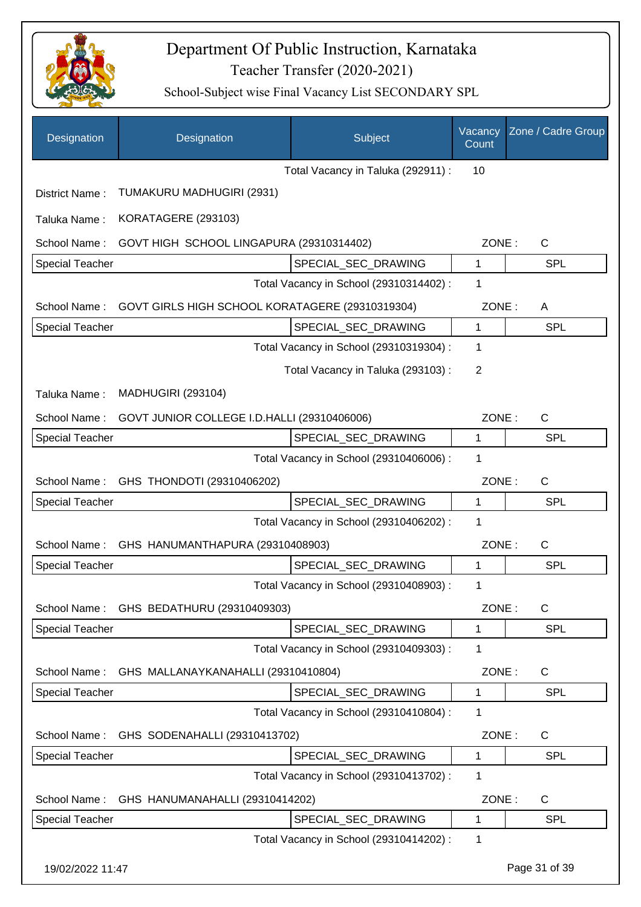

| Designation            | Designation                                     | Subject                                 | Vacancy<br>Count | Zone / Cadre Group |
|------------------------|-------------------------------------------------|-----------------------------------------|------------------|--------------------|
|                        |                                                 | Total Vacancy in Taluka (292911) :      | 10               |                    |
| District Name:         | TUMAKURU MADHUGIRI (2931)                       |                                         |                  |                    |
| Taluka Name:           | KORATAGERE (293103)                             |                                         |                  |                    |
| School Name:           | GOVT HIGH SCHOOL LINGAPURA (29310314402)        |                                         | ZONE:            | C                  |
| Special Teacher        |                                                 | SPECIAL SEC DRAWING                     | 1                | SPL                |
|                        |                                                 | Total Vacancy in School (29310314402) : | 1                |                    |
| School Name:           | GOVT GIRLS HIGH SCHOOL KORATAGERE (29310319304) |                                         | ZONE:            | A                  |
| Special Teacher        |                                                 | SPECIAL SEC DRAWING                     | 1                | SPL                |
|                        |                                                 | Total Vacancy in School (29310319304) : | 1                |                    |
|                        |                                                 | Total Vacancy in Taluka (293103):       | 2                |                    |
| Taluka Name:           | <b>MADHUGIRI (293104)</b>                       |                                         |                  |                    |
| School Name:           | GOVT JUNIOR COLLEGE I.D.HALLI (29310406006)     |                                         | ZONE:            | C                  |
| <b>Special Teacher</b> |                                                 | SPECIAL_SEC_DRAWING                     | 1                | SPL                |
|                        |                                                 | Total Vacancy in School (29310406006) : | 1                |                    |
| School Name:           | GHS THONDOTI (29310406202)                      |                                         | ZONE:            | C                  |
| Special Teacher        |                                                 | SPECIAL_SEC_DRAWING                     | 1                | <b>SPL</b>         |
|                        |                                                 | Total Vacancy in School (29310406202) : | 1                |                    |
| School Name:           | GHS HANUMANTHAPURA (29310408903)                |                                         | ZONE:            | C                  |
| <b>Special Teacher</b> |                                                 | SPECIAL SEC DRAWING                     | 1                | <b>SPL</b>         |
|                        |                                                 | Total Vacancy in School (29310408903) : | 1                |                    |
| School Name:           | GHS BEDATHURU (29310409303)                     |                                         | ZONE:            | C                  |
| Special Teacher        |                                                 | SPECIAL_SEC_DRAWING                     | 1                | <b>SPL</b>         |
|                        |                                                 | Total Vacancy in School (29310409303) : | 1                |                    |
| School Name:           | GHS MALLANAYKANAHALLI (29310410804)             |                                         | ZONE:            | $\mathsf{C}$       |
| Special Teacher        |                                                 | SPECIAL_SEC_DRAWING                     | 1                | <b>SPL</b>         |
|                        |                                                 | Total Vacancy in School (29310410804) : | 1                |                    |
| School Name:           | GHS SODENAHALLI (29310413702)                   |                                         | ZONE:            | C                  |
| Special Teacher        |                                                 | SPECIAL_SEC_DRAWING                     | 1                | <b>SPL</b>         |
|                        |                                                 | Total Vacancy in School (29310413702) : | 1                |                    |
| School Name:           | GHS HANUMANAHALLI (29310414202)                 |                                         | ZONE:            | C                  |
| Special Teacher        |                                                 | SPECIAL_SEC_DRAWING                     | 1                | <b>SPL</b>         |
|                        |                                                 | Total Vacancy in School (29310414202) : | 1                |                    |
| 19/02/2022 11:47       |                                                 |                                         |                  | Page 31 of 39      |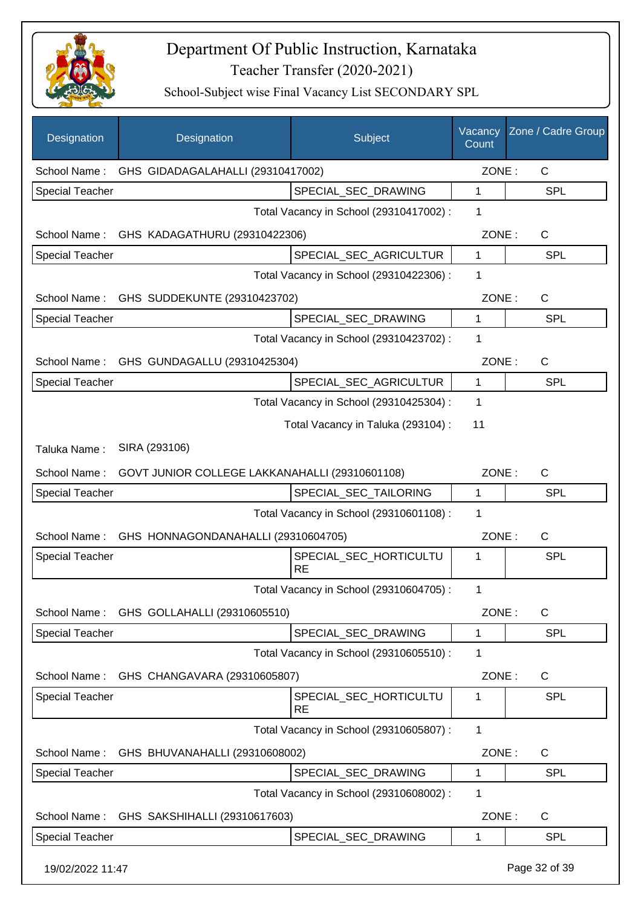

| Designation            | Designation                                    | Subject                                 | Vacancy<br>Count | Zone / Cadre Group |
|------------------------|------------------------------------------------|-----------------------------------------|------------------|--------------------|
| School Name:           | GHS GIDADAGALAHALLI (29310417002)              |                                         | ZONE:            | $\mathsf{C}$       |
| <b>Special Teacher</b> |                                                | SPECIAL_SEC_DRAWING                     | 1                | <b>SPL</b>         |
|                        |                                                | Total Vacancy in School (29310417002) : | 1                |                    |
|                        | School Name: GHS KADAGATHURU (29310422306)     |                                         | ZONE:            | C                  |
| <b>Special Teacher</b> |                                                | SPECIAL_SEC_AGRICULTUR                  | $\mathbf{1}$     | <b>SPL</b>         |
|                        |                                                | Total Vacancy in School (29310422306) : | 1                |                    |
|                        | School Name: GHS SUDDEKUNTE (29310423702)      |                                         | ZONE:            | C                  |
| <b>Special Teacher</b> |                                                | SPECIAL_SEC_DRAWING                     | 1                | <b>SPL</b>         |
|                        |                                                | Total Vacancy in School (29310423702) : | 1                |                    |
|                        | School Name: GHS GUNDAGALLU (29310425304)      |                                         | ZONE:            | C                  |
| <b>Special Teacher</b> |                                                | SPECIAL_SEC_AGRICULTUR                  | $\mathbf{1}$     | <b>SPL</b>         |
|                        |                                                | Total Vacancy in School (29310425304) : | 1                |                    |
|                        |                                                | Total Vacancy in Taluka (293104) :      | 11               |                    |
| Taluka Name:           | SIRA (293106)                                  |                                         |                  |                    |
| School Name:           | GOVT JUNIOR COLLEGE LAKKANAHALLI (29310601108) |                                         | ZONE:            | $\mathsf{C}$       |
| <b>Special Teacher</b> |                                                | SPECIAL_SEC_TAILORING                   | 1                | <b>SPL</b>         |
|                        |                                                | Total Vacancy in School (29310601108) : | 1                |                    |
| School Name:           | GHS HONNAGONDANAHALLI (29310604705)            |                                         | ZONE:            | C                  |
| <b>Special Teacher</b> |                                                | SPECIAL_SEC_HORTICULTU<br><b>RE</b>     | 1                | SPL                |
|                        |                                                | Total Vacancy in School (29310604705) : | 1                |                    |
|                        | School Name: GHS GOLLAHALLI (29310605510)      |                                         | ZONE:            | C                  |
| Special Teacher        |                                                | SPECIAL_SEC_DRAWING                     | 1                | <b>SPL</b>         |
|                        |                                                | Total Vacancy in School (29310605510) : | 1                |                    |
| School Name:           | GHS CHANGAVARA (29310605807)                   |                                         | ZONE:            | C                  |
| <b>Special Teacher</b> |                                                | SPECIAL_SEC_HORTICULTU<br><b>RE</b>     | 1                | <b>SPL</b>         |
|                        |                                                | Total Vacancy in School (29310605807) : | 1                |                    |
| School Name:           | GHS BHUVANAHALLI (29310608002)                 |                                         | ZONE:            | C                  |
| <b>Special Teacher</b> |                                                | SPECIAL_SEC_DRAWING                     | 1                | <b>SPL</b>         |
|                        |                                                | Total Vacancy in School (29310608002) : | 1                |                    |
| School Name:           | GHS SAKSHIHALLI (29310617603)                  |                                         | ZONE:            | C                  |
| <b>Special Teacher</b> |                                                | SPECIAL_SEC_DRAWING                     | 1                | <b>SPL</b>         |
| 19/02/2022 11:47       |                                                |                                         |                  | Page 32 of 39      |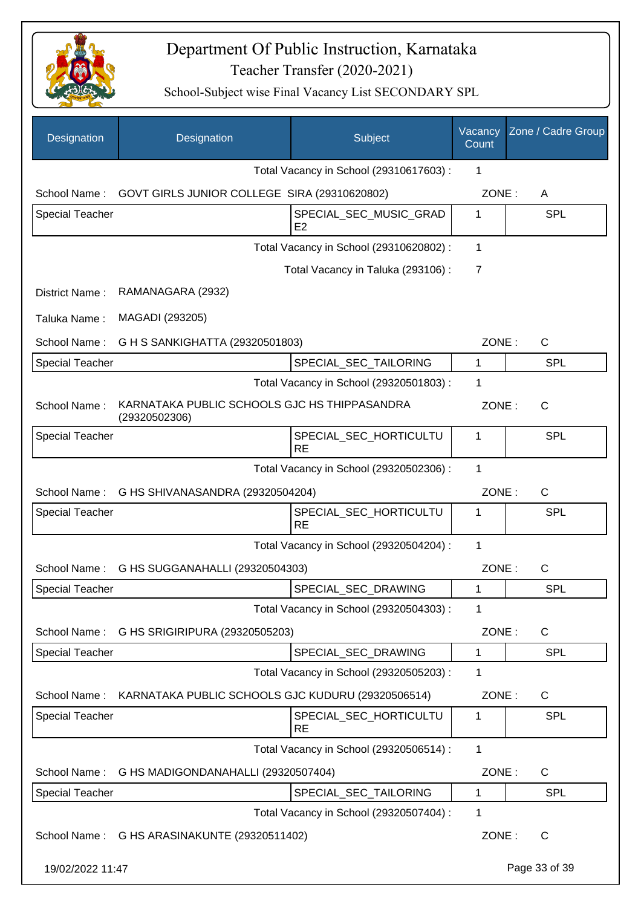

| Designation            | Designation                                                   | Subject                                  | Vacancy<br>Count | Zone / Cadre Group |
|------------------------|---------------------------------------------------------------|------------------------------------------|------------------|--------------------|
|                        |                                                               | Total Vacancy in School (29310617603) :  | 1                |                    |
| School Name:           | GOVT GIRLS JUNIOR COLLEGE SIRA (29310620802)                  |                                          | ZONE:            | A                  |
| <b>Special Teacher</b> |                                                               | SPECIAL_SEC_MUSIC_GRAD<br>E <sub>2</sub> | 1                | <b>SPL</b>         |
|                        |                                                               | Total Vacancy in School (29310620802) :  | 1                |                    |
|                        |                                                               | Total Vacancy in Taluka (293106) :       | 7                |                    |
| District Name:         | RAMANAGARA (2932)                                             |                                          |                  |                    |
| Taluka Name:           | MAGADI (293205)                                               |                                          |                  |                    |
| School Name:           | G H S SANKIGHATTA (29320501803)                               |                                          | ZONE:            | $\mathsf{C}$       |
| <b>Special Teacher</b> |                                                               | SPECIAL_SEC_TAILORING                    | 1                | <b>SPL</b>         |
|                        |                                                               | Total Vacancy in School (29320501803) :  | 1                |                    |
| School Name:           | KARNATAKA PUBLIC SCHOOLS GJC HS THIPPASANDRA<br>(29320502306) |                                          | ZONE:            | $\mathsf{C}$       |
| <b>Special Teacher</b> |                                                               | SPECIAL_SEC_HORTICULTU<br><b>RE</b>      | 1                | <b>SPL</b>         |
|                        |                                                               | Total Vacancy in School (29320502306) :  | $\mathbf{1}$     |                    |
|                        | School Name: G HS SHIVANASANDRA (29320504204)                 |                                          | ZONE:            | $\mathsf{C}$       |
| <b>Special Teacher</b> |                                                               | SPECIAL_SEC_HORTICULTU<br><b>RE</b>      | 1                | <b>SPL</b>         |
|                        |                                                               | Total Vacancy in School (29320504204) :  | $\mathbf{1}$     |                    |
| School Name:           | G HS SUGGANAHALLI (29320504303)                               |                                          | ZONE:            | C                  |
| <b>Special Teacher</b> |                                                               | SPECIAL SEC DRAWING                      | 1                | <b>SPL</b>         |
|                        |                                                               | Total Vacancy in School (29320504303) :  | 1                |                    |
| School Name:           | G HS SRIGIRIPURA (29320505203)                                |                                          | ZONE:            | C                  |
| <b>Special Teacher</b> |                                                               | SPECIAL_SEC_DRAWING                      | 1                | <b>SPL</b>         |
|                        |                                                               | Total Vacancy in School (29320505203) :  | 1                |                    |
| School Name:           | KARNATAKA PUBLIC SCHOOLS GJC KUDURU (29320506514)             |                                          | ZONE:            | C                  |
| <b>Special Teacher</b> |                                                               | SPECIAL_SEC_HORTICULTU<br><b>RE</b>      | 1                | <b>SPL</b>         |
|                        |                                                               | Total Vacancy in School (29320506514) :  | $\mathbf{1}$     |                    |
| School Name:           | G HS MADIGONDANAHALLI (29320507404)                           |                                          | ZONE:            | C                  |
| Special Teacher        |                                                               | SPECIAL_SEC_TAILORING                    | 1                | <b>SPL</b>         |
|                        |                                                               | Total Vacancy in School (29320507404) :  | 1                |                    |
|                        | School Name: G HS ARASINAKUNTE (29320511402)                  |                                          | ZONE:            | C                  |
| 19/02/2022 11:47       |                                                               |                                          |                  | Page 33 of 39      |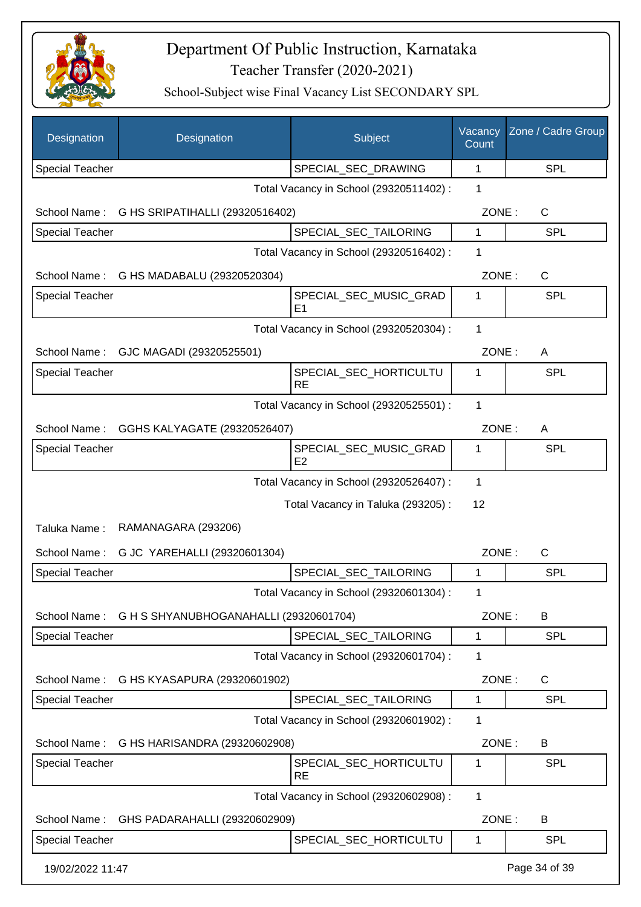

| Designation            | Designation                            | Subject                                 | Vacancy<br>Count | Zone / Cadre Group |
|------------------------|----------------------------------------|-----------------------------------------|------------------|--------------------|
| <b>Special Teacher</b> |                                        | SPECIAL_SEC_DRAWING                     | 1                | <b>SPL</b>         |
|                        |                                        | Total Vacancy in School (29320511402) : | 1                |                    |
| School Name:           | G HS SRIPATIHALLI (29320516402)        |                                         | ZONE:            | $\mathsf{C}$       |
| <b>Special Teacher</b> |                                        | SPECIAL_SEC_TAILORING                   | 1                | <b>SPL</b>         |
|                        |                                        | Total Vacancy in School (29320516402) : | 1                |                    |
| School Name:           | G HS MADABALU (29320520304)            |                                         | ZONE:            | C                  |
| Special Teacher        |                                        | SPECIAL_SEC_MUSIC_GRAD                  | 1                | <b>SPL</b>         |
|                        |                                        | E1                                      |                  |                    |
|                        |                                        | Total Vacancy in School (29320520304) : | $\mathbf{1}$     |                    |
| School Name:           | GJC MAGADI (29320525501)               |                                         | ZONE:            | A                  |
| <b>Special Teacher</b> |                                        | SPECIAL SEC HORTICULTU<br><b>RE</b>     | 1                | <b>SPL</b>         |
|                        |                                        | Total Vacancy in School (29320525501) : | 1                |                    |
| School Name:           | GGHS KALYAGATE (29320526407)           |                                         | ZONE:            | A                  |
| <b>Special Teacher</b> |                                        | SPECIAL_SEC_MUSIC_GRAD<br>E2            | 1                | <b>SPL</b>         |
|                        |                                        | Total Vacancy in School (29320526407) : | $\mathbf 1$      |                    |
|                        |                                        | Total Vacancy in Taluka (293205):       | 12               |                    |
| Taluka Name:           | RAMANAGARA (293206)                    |                                         |                  |                    |
| School Name:           | G JC YAREHALLI (29320601304)           |                                         | ZONE:            | $\mathsf{C}$       |
| <b>Special Teacher</b> |                                        | SPECIAL_SEC_TAILORING                   | 1                | <b>SPL</b>         |
|                        |                                        | Total Vacancy in School (29320601304) : | 1                |                    |
| School Name:           | G H S SHYANUBHOGANAHALLI (29320601704) |                                         | ZONE:            | B                  |
| <b>Special Teacher</b> |                                        | SPECIAL_SEC_TAILORING                   | 1                | <b>SPL</b>         |
|                        |                                        | Total Vacancy in School (29320601704) : | 1                |                    |
| School Name:           | G HS KYASAPURA (29320601902)           |                                         | ZONE:            | $\mathsf{C}$       |
| <b>Special Teacher</b> |                                        | SPECIAL_SEC_TAILORING                   | 1                | <b>SPL</b>         |
|                        |                                        | Total Vacancy in School (29320601902) : | 1                |                    |
| School Name:           | G HS HARISANDRA (29320602908)          |                                         | ZONE:            | B                  |
| <b>Special Teacher</b> |                                        | SPECIAL_SEC_HORTICULTU<br><b>RE</b>     | 1                | <b>SPL</b>         |
|                        |                                        | Total Vacancy in School (29320602908) : | 1                |                    |
| School Name:           | GHS PADARAHALLI (29320602909)          |                                         | ZONE:            | B                  |
| <b>Special Teacher</b> |                                        | SPECIAL_SEC_HORTICULTU                  | 1                | <b>SPL</b>         |
| 19/02/2022 11:47       |                                        |                                         |                  | Page 34 of 39      |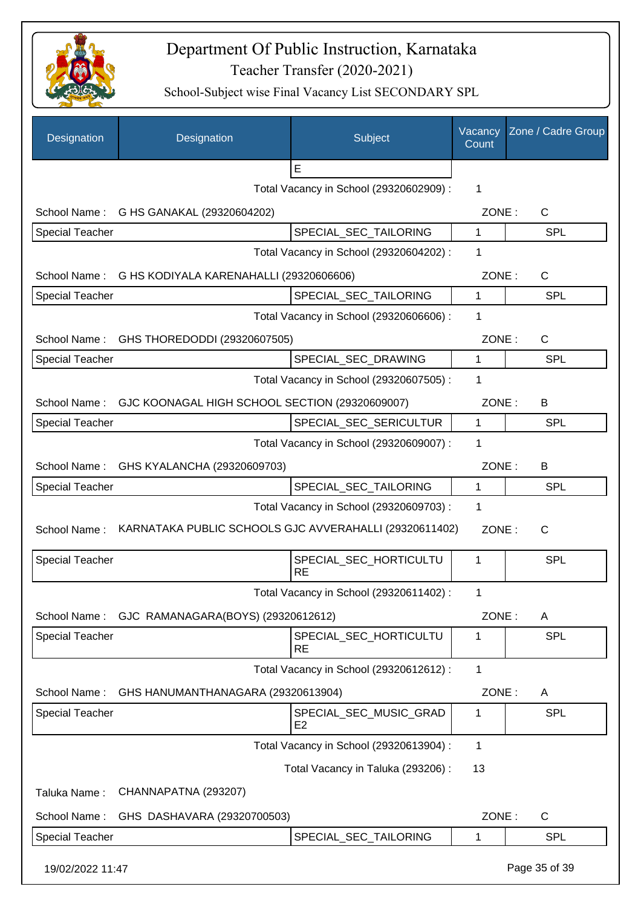

| Designation            | Designation                                            | Subject                                  | Vacancy<br>Count | Zone / Cadre Group |
|------------------------|--------------------------------------------------------|------------------------------------------|------------------|--------------------|
|                        |                                                        | E                                        |                  |                    |
|                        |                                                        | Total Vacancy in School (29320602909) :  | 1                |                    |
| School Name:           | G HS GANAKAL (29320604202)                             |                                          | ZONE:            | $\mathsf{C}$       |
| <b>Special Teacher</b> |                                                        | SPECIAL SEC TAILORING                    | 1                | <b>SPL</b>         |
|                        |                                                        | Total Vacancy in School (29320604202) :  | 1                |                    |
| School Name:           | G HS KODIYALA KARENAHALLI (29320606606)                |                                          | ZONE:            | $\mathsf{C}$       |
| <b>Special Teacher</b> |                                                        | SPECIAL_SEC_TAILORING                    | 1                | <b>SPL</b>         |
|                        |                                                        | Total Vacancy in School (29320606606) :  | 1                |                    |
| School Name:           | GHS THOREDODDI (29320607505)                           |                                          | ZONE:            | $\mathsf{C}$       |
| <b>Special Teacher</b> |                                                        | SPECIAL SEC DRAWING                      | 1                | <b>SPL</b>         |
|                        |                                                        | Total Vacancy in School (29320607505) :  | 1                |                    |
| School Name:           | GJC KOONAGAL HIGH SCHOOL SECTION (29320609007)         |                                          | ZONE:            | B                  |
| <b>Special Teacher</b> |                                                        | SPECIAL_SEC_SERICULTUR                   | 1                | <b>SPL</b>         |
|                        |                                                        | Total Vacancy in School (29320609007) :  | 1                |                    |
| School Name:           | GHS KYALANCHA (29320609703)                            |                                          | ZONE:            | B                  |
| <b>Special Teacher</b> |                                                        | SPECIAL_SEC_TAILORING                    | 1                | <b>SPL</b>         |
|                        |                                                        | Total Vacancy in School (29320609703) :  | 1                |                    |
| School Name:           | KARNATAKA PUBLIC SCHOOLS GJC AVVERAHALLI (29320611402) |                                          | ZONE:            | $\mathsf{C}$       |
| <b>Special Teacher</b> |                                                        | SPECIAL_SEC_HORTICULTU<br><b>RE</b>      | 1                | <b>SPL</b>         |
|                        |                                                        | Total Vacancy in School (29320611402) :  |                  |                    |
| School Name:           | GJC RAMANAGARA(BOYS) (29320612612)                     |                                          | ZONE:            | A                  |
| Special Teacher        |                                                        | SPECIAL_SEC_HORTICULTU<br><b>RE</b>      | 1                | <b>SPL</b>         |
|                        |                                                        | Total Vacancy in School (29320612612) :  | 1                |                    |
| School Name:           | GHS HANUMANTHANAGARA (29320613904)                     |                                          | ZONE:            | A                  |
| Special Teacher        |                                                        | SPECIAL_SEC_MUSIC_GRAD<br>E <sub>2</sub> | 1                | <b>SPL</b>         |
|                        |                                                        | Total Vacancy in School (29320613904) :  | 1                |                    |
|                        |                                                        | Total Vacancy in Taluka (293206) :       | 13               |                    |
| Taluka Name:           | CHANNAPATNA (293207)                                   |                                          |                  |                    |
| School Name:           | GHS DASHAVARA (29320700503)                            |                                          | ZONE:            | C                  |
| <b>Special Teacher</b> |                                                        | SPECIAL_SEC_TAILORING                    | 1                | <b>SPL</b>         |
| 19/02/2022 11:47       |                                                        |                                          |                  | Page 35 of 39      |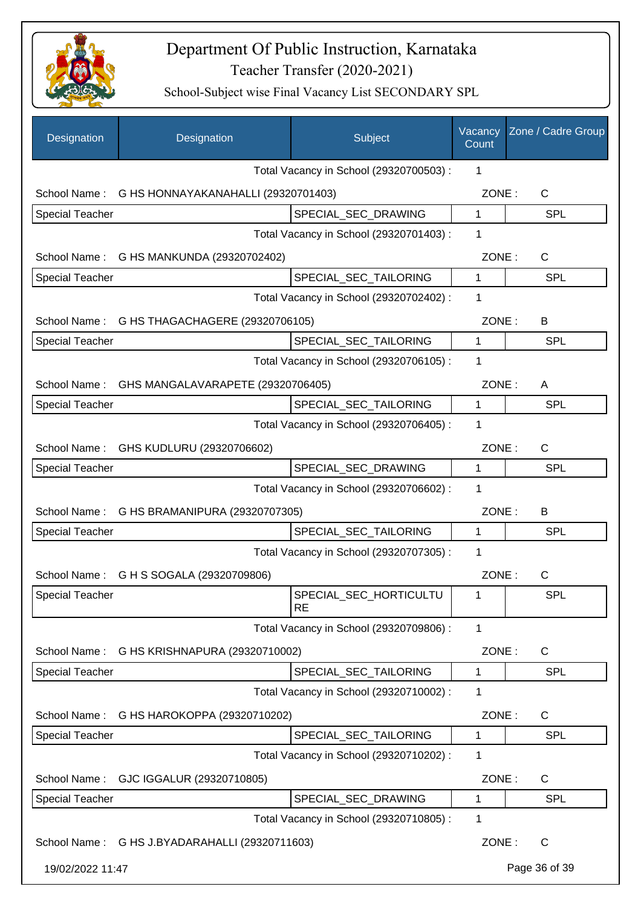

| Designation            | Designation                                    | Subject                                 | Vacancy<br>Count | Zone / Cadre Group |
|------------------------|------------------------------------------------|-----------------------------------------|------------------|--------------------|
|                        |                                                | Total Vacancy in School (29320700503) : | 1                |                    |
| School Name:           | G HS HONNAYAKANAHALLI (29320701403)            |                                         | ZONE:            | C                  |
| <b>Special Teacher</b> |                                                | SPECIAL_SEC_DRAWING                     | 1                | <b>SPL</b>         |
|                        |                                                | Total Vacancy in School (29320701403) : | 1                |                    |
|                        | School Name: G HS MANKUNDA (29320702402)       |                                         | ZONE:            | C                  |
| <b>Special Teacher</b> |                                                | SPECIAL_SEC_TAILORING                   | 1                | <b>SPL</b>         |
|                        |                                                | Total Vacancy in School (29320702402) : | 1                |                    |
|                        | School Name: G HS THAGACHAGERE (29320706105)   |                                         | ZONE:            | B                  |
| <b>Special Teacher</b> |                                                | SPECIAL_SEC_TAILORING                   | 1                | <b>SPL</b>         |
|                        |                                                | Total Vacancy in School (29320706105) : | 1                |                    |
| School Name:           | GHS MANGALAVARAPETE (29320706405)              |                                         | ZONE:            | A                  |
| <b>Special Teacher</b> |                                                | SPECIAL_SEC_TAILORING                   | 1                | <b>SPL</b>         |
|                        |                                                | Total Vacancy in School (29320706405) : | 1                |                    |
| School Name:           | GHS KUDLURU (29320706602)                      |                                         | ZONE:            | $\mathsf{C}$       |
| Special Teacher        |                                                | SPECIAL_SEC_DRAWING                     | 1                | <b>SPL</b>         |
|                        |                                                | Total Vacancy in School (29320706602) : | 1                |                    |
| School Name:           | G HS BRAMANIPURA (29320707305)                 |                                         | ZONE:            | B                  |
| <b>Special Teacher</b> |                                                | SPECIAL_SEC_TAILORING                   | 1                | <b>SPL</b>         |
|                        |                                                | Total Vacancy in School (29320707305) : | 1                |                    |
| School Name:           | G H S SOGALA (29320709806)                     |                                         | ZONE:            | $\mathsf C$        |
| <b>Special Teacher</b> |                                                | SPECIAL_SEC_HORTICULTU<br><b>RE</b>     | 1                | <b>SPL</b>         |
|                        |                                                | Total Vacancy in School (29320709806) : | 1                |                    |
| School Name:           | G HS KRISHNAPURA (29320710002)                 |                                         | ZONE:            | C                  |
| <b>Special Teacher</b> |                                                | SPECIAL_SEC_TAILORING                   | $\mathbf{1}$     | <b>SPL</b>         |
|                        |                                                | Total Vacancy in School (29320710002) : | 1                |                    |
| School Name:           | G HS HAROKOPPA (29320710202)                   |                                         | ZONE:            | C                  |
| <b>Special Teacher</b> |                                                | SPECIAL_SEC_TAILORING                   | 1                | <b>SPL</b>         |
|                        |                                                | Total Vacancy in School (29320710202) : | 1                |                    |
| School Name:           | GJC IGGALUR (29320710805)                      |                                         | ZONE:            | C                  |
| Special Teacher        |                                                | SPECIAL_SEC_DRAWING                     | 1                | <b>SPL</b>         |
|                        |                                                | Total Vacancy in School (29320710805) : | 1                |                    |
|                        | School Name: G HS J.BYADARAHALLI (29320711603) |                                         | ZONE:            | $\mathsf{C}$       |
| 19/02/2022 11:47       |                                                |                                         |                  | Page 36 of 39      |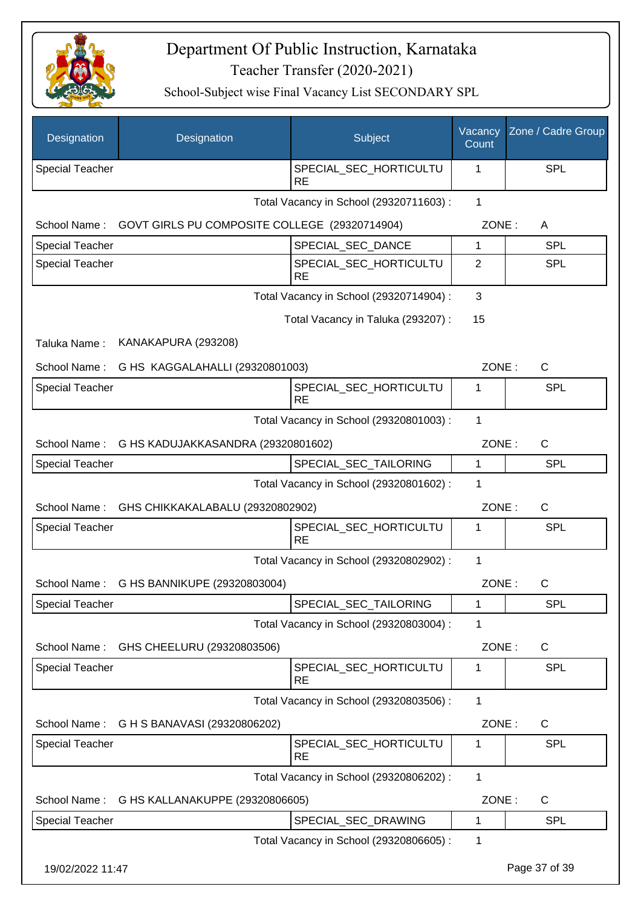

| Designation                                     | Designation                                   | Subject                                 | Vacancy<br>Count | Zone / Cadre Group |
|-------------------------------------------------|-----------------------------------------------|-----------------------------------------|------------------|--------------------|
| <b>Special Teacher</b>                          |                                               | SPECIAL_SEC_HORTICULTU<br><b>RE</b>     | 1                | <b>SPL</b>         |
|                                                 |                                               | Total Vacancy in School (29320711603) : | $\mathbf{1}$     |                    |
| School Name:                                    | GOVT GIRLS PU COMPOSITE COLLEGE (29320714904) |                                         | ZONE:            | A                  |
| <b>Special Teacher</b>                          |                                               | SPECIAL_SEC_DANCE                       | 1                | <b>SPL</b>         |
| Special Teacher                                 |                                               | SPECIAL_SEC_HORTICULTU<br><b>RE</b>     | 2                | <b>SPL</b>         |
|                                                 |                                               | Total Vacancy in School (29320714904) : | 3                |                    |
|                                                 |                                               | Total Vacancy in Taluka (293207) :      | 15               |                    |
| Taluka Name:                                    | KANAKAPURA (293208)                           |                                         |                  |                    |
| School Name:                                    | G HS KAGGALAHALLI (29320801003)               |                                         | ZONE:            | C                  |
| <b>Special Teacher</b>                          |                                               | SPECIAL SEC HORTICULTU<br><b>RE</b>     | 1                | <b>SPL</b>         |
|                                                 |                                               | Total Vacancy in School (29320801003) : | 1                |                    |
| School Name:                                    | G HS KADUJAKKASANDRA (29320801602)            |                                         | ZONE:            | C                  |
| Special Teacher                                 |                                               | SPECIAL_SEC_TAILORING                   | 1                | <b>SPL</b>         |
|                                                 |                                               | Total Vacancy in School (29320801602) : | 1                |                    |
| School Name:                                    | GHS CHIKKAKALABALU (29320802902)              |                                         | ZONE:            | C                  |
| Special Teacher                                 |                                               | SPECIAL_SEC_HORTICULTU<br><b>RE</b>     | 1                | <b>SPL</b>         |
|                                                 |                                               | Total Vacancy in School (29320802902) : | 1                |                    |
| School Name:                                    | G HS BANNIKUPE (29320803004)                  |                                         |                  | ZONE:<br>C         |
| <b>Special Teacher</b>                          |                                               | SPECIAL_SEC_TAILORING                   | 1                | <b>SPL</b>         |
|                                                 |                                               | Total Vacancy in School (29320803004) : | 1                |                    |
| School Name:                                    | GHS CHEELURU (29320803506)                    |                                         | ZONE:            | C                  |
| <b>Special Teacher</b>                          |                                               | SPECIAL_SEC_HORTICULTU<br><b>RE</b>     | 1                | <b>SPL</b>         |
|                                                 |                                               | Total Vacancy in School (29320803506) : | 1                |                    |
| School Name:                                    | G H S BANAVASI (29320806202)                  |                                         | ZONE:            | $\mathsf{C}$       |
| Special Teacher                                 |                                               | SPECIAL_SEC_HORTICULTU<br><b>RE</b>     | 1                | <b>SPL</b>         |
|                                                 |                                               | Total Vacancy in School (29320806202) : | 1                |                    |
| G HS KALLANAKUPPE (29320806605)<br>School Name: |                                               | ZONE:                                   | C                |                    |
| Special Teacher                                 |                                               | SPECIAL_SEC_DRAWING                     | 1                | <b>SPL</b>         |
|                                                 |                                               | Total Vacancy in School (29320806605) : | 1                |                    |
| 19/02/2022 11:47                                |                                               |                                         |                  | Page 37 of 39      |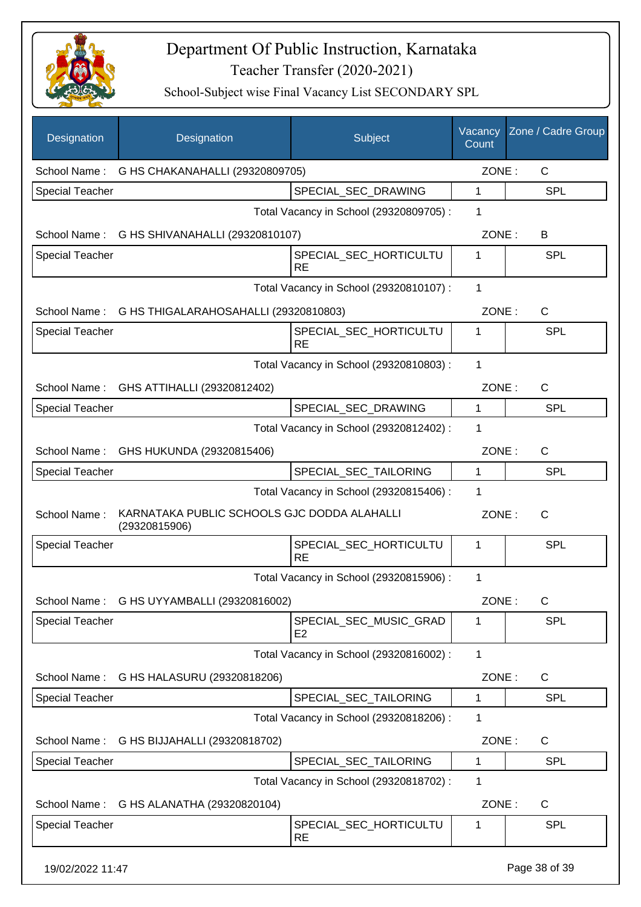

| Designation            | Designation                                                  | Subject                                  | Vacancy<br>Count | Zone / Cadre Group    |  |
|------------------------|--------------------------------------------------------------|------------------------------------------|------------------|-----------------------|--|
|                        | School Name: G HS CHAKANAHALLI (29320809705)                 |                                          |                  | ZONE:<br>C            |  |
| <b>Special Teacher</b> |                                                              | SPECIAL SEC DRAWING                      | 1                | <b>SPL</b>            |  |
|                        |                                                              | Total Vacancy in School (29320809705) :  | 1                |                       |  |
|                        | School Name: G HS SHIVANAHALLI (29320810107)                 |                                          | ZONE:            | B                     |  |
| <b>Special Teacher</b> |                                                              | SPECIAL_SEC_HORTICULTU<br><b>RE</b>      | 1                | <b>SPL</b>            |  |
|                        |                                                              | Total Vacancy in School (29320810107) :  | 1                |                       |  |
|                        | School Name: G HS THIGALARAHOSAHALLI (29320810803)           |                                          |                  | $\mathsf{C}$<br>ZONE: |  |
| <b>Special Teacher</b> |                                                              | SPECIAL_SEC_HORTICULTU<br><b>RE</b>      | 1                | <b>SPL</b>            |  |
|                        |                                                              | Total Vacancy in School (29320810803) :  | 1                |                       |  |
|                        | School Name: GHS ATTIHALLI (29320812402)                     |                                          | ZONE:            | $\mathsf{C}$          |  |
| <b>Special Teacher</b> |                                                              | SPECIAL_SEC_DRAWING                      | 1                | <b>SPL</b>            |  |
|                        |                                                              | Total Vacancy in School (29320812402) :  | 1                |                       |  |
|                        | School Name: GHS HUKUNDA (29320815406)                       |                                          | ZONE:            | C                     |  |
| <b>Special Teacher</b> |                                                              | SPECIAL_SEC_TAILORING                    | 1                | <b>SPL</b>            |  |
|                        |                                                              | Total Vacancy in School (29320815406) :  | 1                |                       |  |
| School Name:           | KARNATAKA PUBLIC SCHOOLS GJC DODDA ALAHALLI<br>(29320815906) |                                          | ZONE:            | $\mathsf{C}$          |  |
| <b>Special Teacher</b> |                                                              | SPECIAL_SEC_HORTICULTU<br><b>RE</b>      | 1                | <b>SPL</b>            |  |
|                        |                                                              | Total Vacancy in School (29320815906) :  | 1                |                       |  |
|                        | School Name: G HS UYYAMBALLI (29320816002)                   |                                          | ZONE:            | $\mathsf C$           |  |
| <b>Special Teacher</b> |                                                              | SPECIAL_SEC_MUSIC_GRAD<br>E <sub>2</sub> | 1                | <b>SPL</b>            |  |
|                        |                                                              | Total Vacancy in School (29320816002) :  | 1                |                       |  |
| School Name:           | G HS HALASURU (29320818206)                                  |                                          | ZONE:            | C                     |  |
| <b>Special Teacher</b> |                                                              | SPECIAL_SEC_TAILORING                    | 1                | <b>SPL</b>            |  |
|                        |                                                              | Total Vacancy in School (29320818206) :  | 1                |                       |  |
| School Name:           | G HS BIJJAHALLI (29320818702)                                |                                          | ZONE:            | C                     |  |
| <b>Special Teacher</b> |                                                              | SPECIAL_SEC_TAILORING                    | 1                | <b>SPL</b>            |  |
|                        |                                                              | Total Vacancy in School (29320818702) :  | 1                |                       |  |
| School Name:           | G HS ALANATHA (29320820104)                                  |                                          | ZONE:            | C                     |  |
| <b>Special Teacher</b> |                                                              | SPECIAL_SEC_HORTICULTU<br><b>RE</b>      | 1                | <b>SPL</b>            |  |
| 19/02/2022 11:47       |                                                              |                                          |                  | Page 38 of 39         |  |